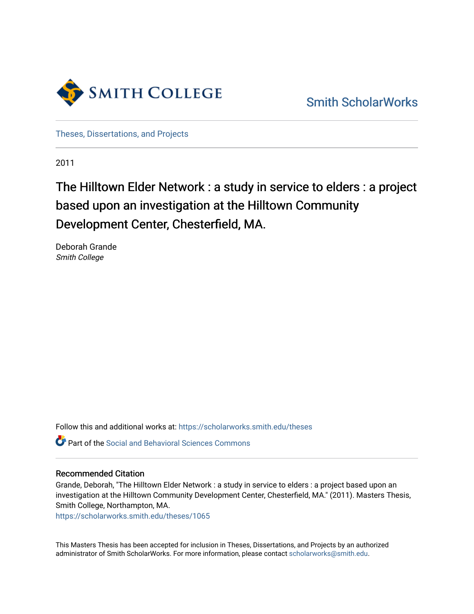

[Smith ScholarWorks](https://scholarworks.smith.edu/) 

[Theses, Dissertations, and Projects](https://scholarworks.smith.edu/theses) 

2011

# The Hilltown Elder Network : a study in service to elders : a project based upon an investigation at the Hilltown Community Development Center, Chesterfield, MA.

Deborah Grande Smith College

Follow this and additional works at: [https://scholarworks.smith.edu/theses](https://scholarworks.smith.edu/theses?utm_source=scholarworks.smith.edu%2Ftheses%2F1065&utm_medium=PDF&utm_campaign=PDFCoverPages) 

Part of the [Social and Behavioral Sciences Commons](http://network.bepress.com/hgg/discipline/316?utm_source=scholarworks.smith.edu%2Ftheses%2F1065&utm_medium=PDF&utm_campaign=PDFCoverPages) 

## Recommended Citation

Grande, Deborah, "The Hilltown Elder Network : a study in service to elders : a project based upon an investigation at the Hilltown Community Development Center, Chesterfield, MA." (2011). Masters Thesis, Smith College, Northampton, MA.

[https://scholarworks.smith.edu/theses/1065](https://scholarworks.smith.edu/theses/1065?utm_source=scholarworks.smith.edu%2Ftheses%2F1065&utm_medium=PDF&utm_campaign=PDFCoverPages)

This Masters Thesis has been accepted for inclusion in Theses, Dissertations, and Projects by an authorized administrator of Smith ScholarWorks. For more information, please contact [scholarworks@smith.edu](mailto:scholarworks@smith.edu).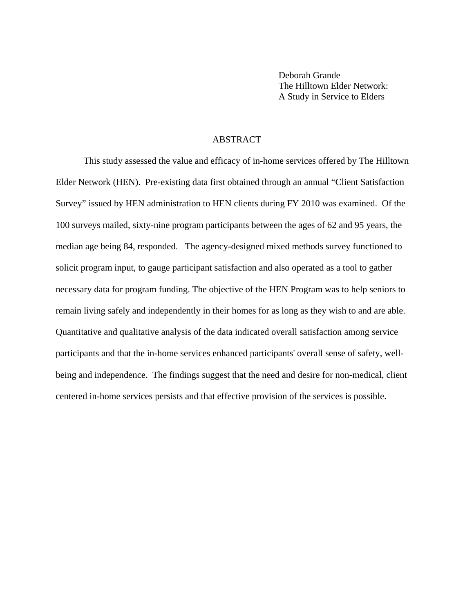Deborah Grande The Hilltown Elder Network: A Study in Service to Elders

#### ABSTRACT

This study assessed the value and efficacy of in-home services offered by The Hilltown Elder Network (HEN). Pre-existing data first obtained through an annual "Client Satisfaction Survey" issued by HEN administration to HEN clients during FY 2010 was examined. Of the 100 surveys mailed, sixty-nine program participants between the ages of 62 and 95 years, the median age being 84, responded. The agency-designed mixed methods survey functioned to solicit program input, to gauge participant satisfaction and also operated as a tool to gather necessary data for program funding. The objective of the HEN Program was to help seniors to remain living safely and independently in their homes for as long as they wish to and are able. Quantitative and qualitative analysis of the data indicated overall satisfaction among service participants and that the in-home services enhanced participants' overall sense of safety, wellbeing and independence. The findings suggest that the need and desire for non-medical, client centered in-home services persists and that effective provision of the services is possible.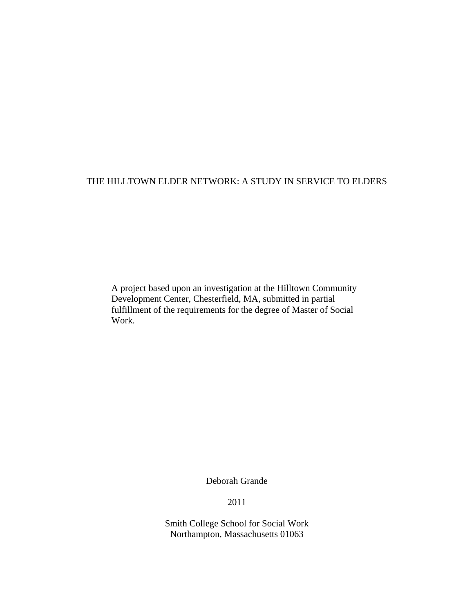# THE HILLTOWN ELDER NETWORK: A STUDY IN SERVICE TO ELDERS

A project based upon an investigation at the Hilltown Community Development Center, Chesterfield, MA, submitted in partial fulfillment of the requirements for the degree of Master of Social Work.

Deborah Grande

2011

Smith College School for Social Work Northampton, Massachusetts 01063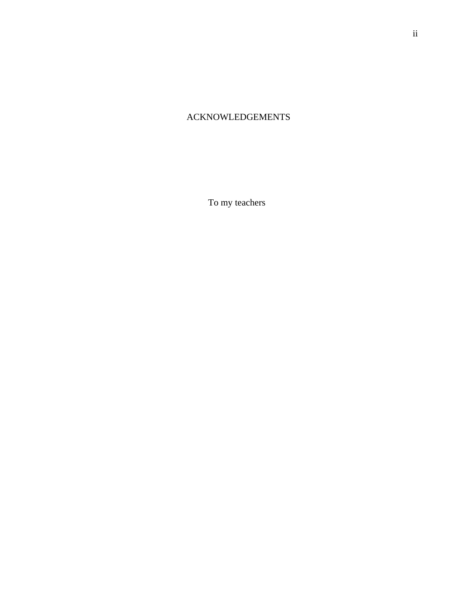# ACKNOWLEDGEMENTS

To my teachers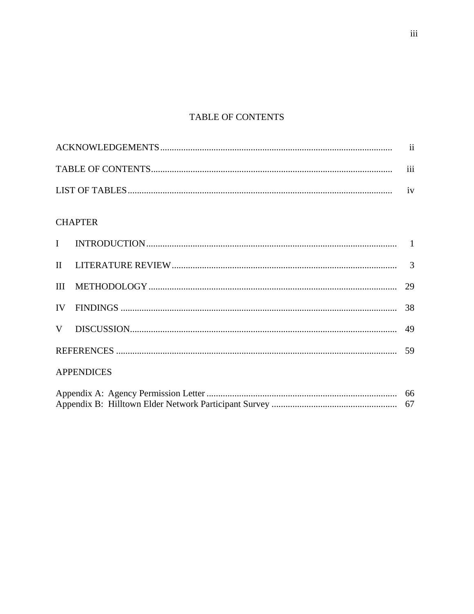# TABLE OF CONTENTS

| $\cdots$ |
|----------|
|          |

# **CHAPTER**

| <b>APPENDICES</b> |  |  |  |
|-------------------|--|--|--|
|                   |  |  |  |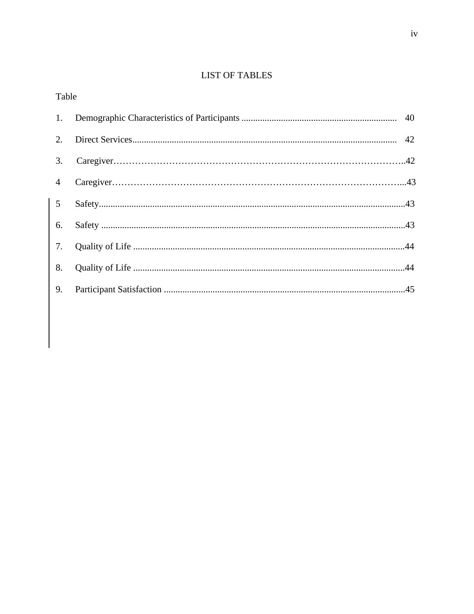# **LIST OF TABLES**

| Table          |  |  |  |  |
|----------------|--|--|--|--|
| 1.             |  |  |  |  |
| 2.             |  |  |  |  |
| 3.             |  |  |  |  |
| $\overline{4}$ |  |  |  |  |
| 5 <sup>5</sup> |  |  |  |  |
| 6.             |  |  |  |  |
| 7.             |  |  |  |  |
| 8.             |  |  |  |  |
| 9.             |  |  |  |  |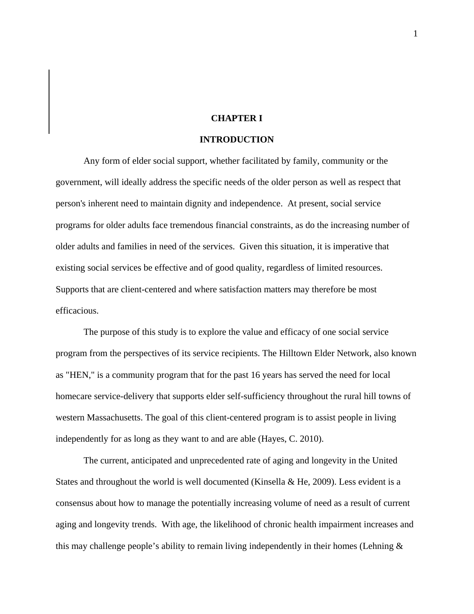## **CHAPTER I**

#### **INTRODUCTION**

Any form of elder social support, whether facilitated by family, community or the government, will ideally address the specific needs of the older person as well as respect that person's inherent need to maintain dignity and independence. At present, social service programs for older adults face tremendous financial constraints, as do the increasing number of older adults and families in need of the services. Given this situation, it is imperative that existing social services be effective and of good quality, regardless of limited resources. Supports that are client-centered and where satisfaction matters may therefore be most efficacious.

The purpose of this study is to explore the value and efficacy of one social service program from the perspectives of its service recipients. The Hilltown Elder Network, also known as "HEN," is a community program that for the past 16 years has served the need for local homecare service-delivery that supports elder self-sufficiency throughout the rural hill towns of western Massachusetts. The goal of this client-centered program is to assist people in living independently for as long as they want to and are able (Hayes, C. 2010).

The current, anticipated and unprecedented rate of aging and longevity in the United States and throughout the world is well documented (Kinsella & He, 2009). Less evident is a consensus about how to manage the potentially increasing volume of need as a result of current aging and longevity trends. With age, the likelihood of chronic health impairment increases and this may challenge people's ability to remain living independently in their homes (Lehning &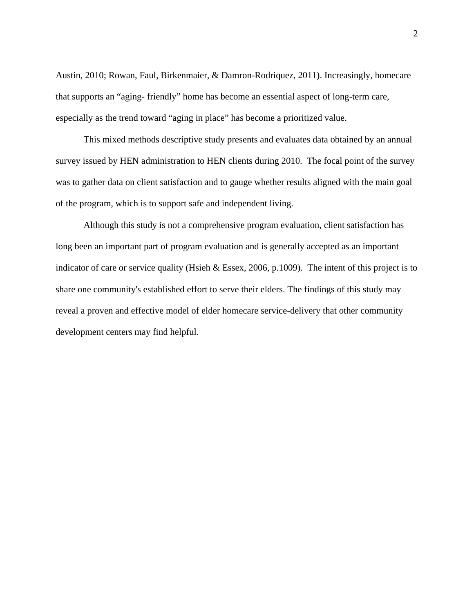Austin, 2010; Rowan, Faul, Birkenmaier, & Damron-Rodriquez, 2011). Increasingly, homecare that supports an "aging- friendly" home has become an essential aspect of long-term care, especially as the trend toward "aging in place" has become a prioritized value.

This mixed methods descriptive study presents and evaluates data obtained by an annual survey issued by HEN administration to HEN clients during 2010. The focal point of the survey was to gather data on client satisfaction and to gauge whether results aligned with the main goal of the program, which is to support safe and independent living.

Although this study is not a comprehensive program evaluation, client satisfaction has long been an important part of program evaluation and is generally accepted as an important indicator of care or service quality (Hsieh & Essex, 2006, p.1009). The intent of this project is to share one community's established effort to serve their elders. The findings of this study may reveal a proven and effective model of elder homecare service-delivery that other community development centers may find helpful.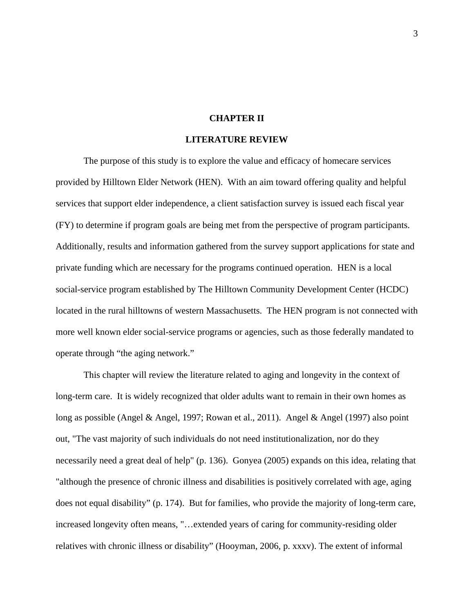## **CHAPTER II**

#### **LITERATURE REVIEW**

The purpose of this study is to explore the value and efficacy of homecare services provided by Hilltown Elder Network (HEN). With an aim toward offering quality and helpful services that support elder independence, a client satisfaction survey is issued each fiscal year (FY) to determine if program goals are being met from the perspective of program participants. Additionally, results and information gathered from the survey support applications for state and private funding which are necessary for the programs continued operation. HEN is a local social-service program established by The Hilltown Community Development Center (HCDC) located in the rural hilltowns of western Massachusetts. The HEN program is not connected with more well known elder social-service programs or agencies, such as those federally mandated to operate through "the aging network."

This chapter will review the literature related to aging and longevity in the context of long-term care. It is widely recognized that older adults want to remain in their own homes as long as possible (Angel & Angel, 1997; Rowan et al., 2011). Angel & Angel (1997) also point out, "The vast majority of such individuals do not need institutionalization, nor do they necessarily need a great deal of help" (p. 136). Gonyea (2005) expands on this idea, relating that "although the presence of chronic illness and disabilities is positively correlated with age, aging does not equal disability" (p. 174). But for families, who provide the majority of long-term care, increased longevity often means, "…extended years of caring for community-residing older relatives with chronic illness or disability" (Hooyman, 2006, p. xxxv). The extent of informal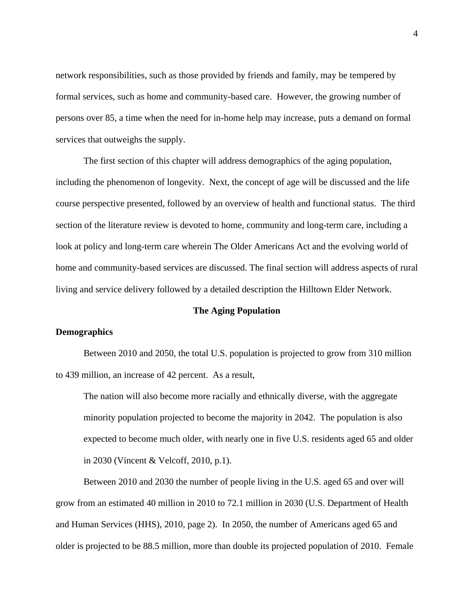network responsibilities, such as those provided by friends and family, may be tempered by formal services, such as home and community-based care. However, the growing number of persons over 85, a time when the need for in-home help may increase, puts a demand on formal services that outweighs the supply.

The first section of this chapter will address demographics of the aging population, including the phenomenon of longevity. Next, the concept of age will be discussed and the life course perspective presented, followed by an overview of health and functional status. The third section of the literature review is devoted to home, community and long-term care, including a look at policy and long-term care wherein The Older Americans Act and the evolving world of home and community-based services are discussed. The final section will address aspects of rural living and service delivery followed by a detailed description the Hilltown Elder Network.

## **The Aging Population**

## **Demographics**

Between 2010 and 2050, the total U.S. population is projected to grow from 310 million to 439 million, an increase of 42 percent. As a result,

The nation will also become more racially and ethnically diverse, with the aggregate minority population projected to become the majority in 2042. The population is also expected to become much older, with nearly one in five U.S. residents aged 65 and older in 2030 (Vincent & Velcoff, 2010, p.1).

Between 2010 and 2030 the number of people living in the U.S. aged 65 and over will grow from an estimated 40 million in 2010 to 72.1 million in 2030 (U.S. Department of Health and Human Services (HHS), 2010, page 2). In 2050, the number of Americans aged 65 and older is projected to be 88.5 million, more than double its projected population of 2010. Female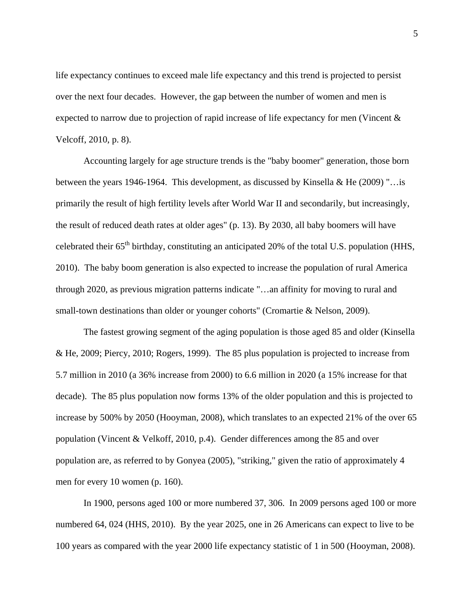life expectancy continues to exceed male life expectancy and this trend is projected to persist over the next four decades. However, the gap between the number of women and men is expected to narrow due to projection of rapid increase of life expectancy for men (Vincent & Velcoff, 2010, p. 8).

Accounting largely for age structure trends is the "baby boomer" generation, those born between the years 1946-1964. This development, as discussed by Kinsella & He (2009) "…is primarily the result of high fertility levels after World War II and secondarily, but increasingly, the result of reduced death rates at older ages" (p. 13). By 2030, all baby boomers will have celebrated their  $65<sup>th</sup>$  birthday, constituting an anticipated 20% of the total U.S. population (HHS, 2010). The baby boom generation is also expected to increase the population of rural America through 2020, as previous migration patterns indicate "…an affinity for moving to rural and small-town destinations than older or younger cohorts" (Cromartie & Nelson, 2009).

The fastest growing segment of the aging population is those aged 85 and older (Kinsella & He, 2009; Piercy, 2010; Rogers, 1999). The 85 plus population is projected to increase from 5.7 million in 2010 (a 36% increase from 2000) to 6.6 million in 2020 (a 15% increase for that decade). The 85 plus population now forms 13% of the older population and this is projected to increase by 500% by 2050 (Hooyman, 2008), which translates to an expected 21% of the over 65 population (Vincent & Velkoff, 2010, p.4). Gender differences among the 85 and over population are, as referred to by Gonyea (2005), "striking," given the ratio of approximately 4 men for every 10 women (p. 160).

In 1900, persons aged 100 or more numbered 37, 306. In 2009 persons aged 100 or more numbered 64, 024 (HHS, 2010). By the year 2025, one in 26 Americans can expect to live to be 100 years as compared with the year 2000 life expectancy statistic of 1 in 500 (Hooyman, 2008).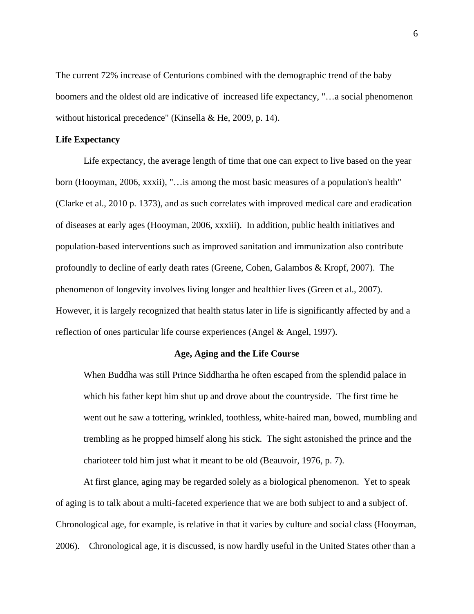The current 72% increase of Centurions combined with the demographic trend of the baby boomers and the oldest old are indicative of increased life expectancy, "…a social phenomenon without historical precedence" (Kinsella & He, 2009, p. 14).

#### **Life Expectancy**

Life expectancy, the average length of time that one can expect to live based on the year born (Hooyman, 2006, xxxii), "…is among the most basic measures of a population's health" (Clarke et al., 2010 p. 1373), and as such correlates with improved medical care and eradication of diseases at early ages (Hooyman, 2006, xxxiii). In addition, public health initiatives and population-based interventions such as improved sanitation and immunization also contribute profoundly to decline of early death rates (Greene, Cohen, Galambos & Kropf, 2007). The phenomenon of longevity involves living longer and healthier lives (Green et al., 2007). However, it is largely recognized that health status later in life is significantly affected by and a reflection of ones particular life course experiences (Angel & Angel, 1997).

## **Age, Aging and the Life Course**

When Buddha was still Prince Siddhartha he often escaped from the splendid palace in which his father kept him shut up and drove about the countryside. The first time he went out he saw a tottering, wrinkled, toothless, white-haired man, bowed, mumbling and trembling as he propped himself along his stick. The sight astonished the prince and the charioteer told him just what it meant to be old (Beauvoir, 1976, p. 7).

At first glance, aging may be regarded solely as a biological phenomenon. Yet to speak of aging is to talk about a multi-faceted experience that we are both subject to and a subject of. Chronological age, for example, is relative in that it varies by culture and social class (Hooyman, 2006). Chronological age, it is discussed, is now hardly useful in the United States other than a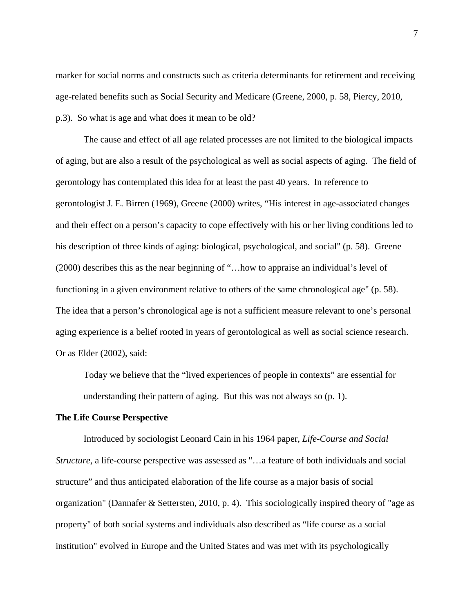marker for social norms and constructs such as criteria determinants for retirement and receiving age-related benefits such as Social Security and Medicare (Greene, 2000, p. 58, Piercy, 2010, p.3). So what is age and what does it mean to be old?

The cause and effect of all age related processes are not limited to the biological impacts of aging, but are also a result of the psychological as well as social aspects of aging. The field of gerontology has contemplated this idea for at least the past 40 years. In reference to gerontologist J. E. Birren (1969), Greene (2000) writes, "His interest in age-associated changes and their effect on a person's capacity to cope effectively with his or her living conditions led to his description of three kinds of aging: biological, psychological, and social" (p. 58). Greene (2000) describes this as the near beginning of "…how to appraise an individual's level of functioning in a given environment relative to others of the same chronological age" (p. 58). The idea that a person's chronological age is not a sufficient measure relevant to one's personal aging experience is a belief rooted in years of gerontological as well as social science research. Or as Elder (2002), said:

Today we believe that the "lived experiences of people in contexts" are essential for understanding their pattern of aging. But this was not always so (p. 1).

#### **The Life Course Perspective**

Introduced by sociologist Leonard Cain in his 1964 paper, *Life-Course and Social Structure,* a life-course perspective was assessed as "…a feature of both individuals and social structure" and thus anticipated elaboration of the life course as a major basis of social organization" (Dannafer & Settersten, 2010, p. 4). This sociologically inspired theory of "age as property" of both social systems and individuals also described as "life course as a social institution" evolved in Europe and the United States and was met with its psychologically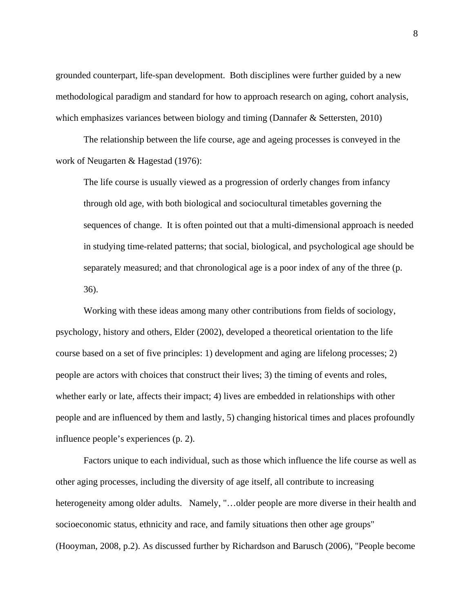grounded counterpart, life-span development. Both disciplines were further guided by a new methodological paradigm and standard for how to approach research on aging, cohort analysis, which emphasizes variances between biology and timing (Dannafer & Settersten, 2010)

The relationship between the life course, age and ageing processes is conveyed in the work of Neugarten & Hagestad (1976):

The life course is usually viewed as a progression of orderly changes from infancy through old age, with both biological and sociocultural timetables governing the sequences of change. It is often pointed out that a multi-dimensional approach is needed in studying time-related patterns; that social, biological, and psychological age should be separately measured; and that chronological age is a poor index of any of the three (p. 36).

Working with these ideas among many other contributions from fields of sociology, psychology, history and others, Elder (2002), developed a theoretical orientation to the life course based on a set of five principles: 1) development and aging are lifelong processes; 2) people are actors with choices that construct their lives; 3) the timing of events and roles, whether early or late, affects their impact; 4) lives are embedded in relationships with other people and are influenced by them and lastly, 5) changing historical times and places profoundly influence people's experiences (p. 2).

Factors unique to each individual, such as those which influence the life course as well as other aging processes, including the diversity of age itself, all contribute to increasing heterogeneity among older adults. Namely, "...older people are more diverse in their health and socioeconomic status, ethnicity and race, and family situations then other age groups" (Hooyman, 2008, p.2). As discussed further by Richardson and Barusch (2006), "People become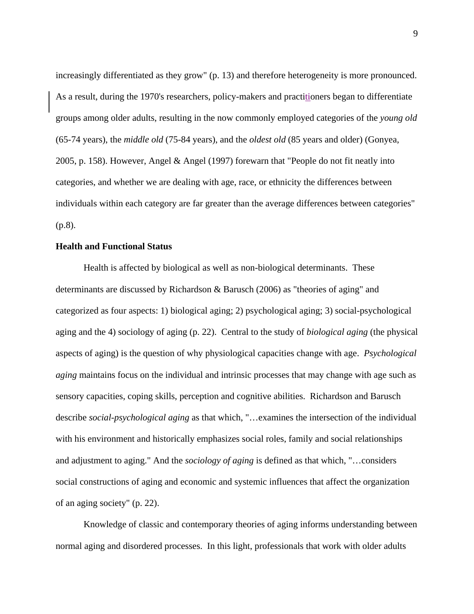increasingly differentiated as they grow" (p. 13) and therefore heterogeneity is more pronounced. As a result, during the 1970's researchers, policy-makers and practitioners began to differentiate groups among older adults, resulting in the now commonly employed categories of the *young old* (65-74 years), the *middle old* (75-84 years), and the *oldest old* (85 years and older) (Gonyea, 2005, p. 158). However, Angel & Angel (1997) forewarn that "People do not fit neatly into categories, and whether we are dealing with age, race, or ethnicity the differences between individuals within each category are far greater than the average differences between categories" (p.8).

## **Health and Functional Status**

Health is affected by biological as well as non-biological determinants. These determinants are discussed by Richardson & Barusch (2006) as "theories of aging" and categorized as four aspects: 1) biological aging; 2) psychological aging; 3) social-psychological aging and the 4) sociology of aging (p. 22). Central to the study of *biological aging* (the physical aspects of aging) is the question of why physiological capacities change with age. *Psychological aging* maintains focus on the individual and intrinsic processes that may change with age such as sensory capacities, coping skills, perception and cognitive abilities. Richardson and Barusch describe *social-psychological aging* as that which, "…examines the intersection of the individual with his environment and historically emphasizes social roles, family and social relationships and adjustment to aging." And the *sociology of aging* is defined as that which, "…considers social constructions of aging and economic and systemic influences that affect the organization of an aging society" (p. 22).

Knowledge of classic and contemporary theories of aging informs understanding between normal aging and disordered processes. In this light, professionals that work with older adults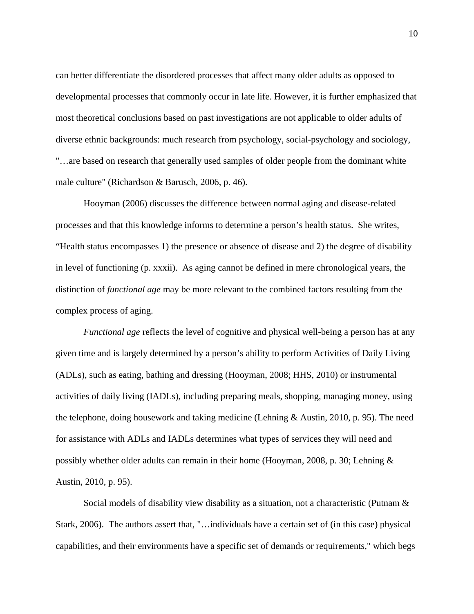can better differentiate the disordered processes that affect many older adults as opposed to developmental processes that commonly occur in late life. However, it is further emphasized that most theoretical conclusions based on past investigations are not applicable to older adults of diverse ethnic backgrounds: much research from psychology, social-psychology and sociology, "…are based on research that generally used samples of older people from the dominant white male culture" (Richardson & Barusch, 2006, p. 46).

Hooyman (2006) discusses the difference between normal aging and disease-related processes and that this knowledge informs to determine a person's health status. She writes, "Health status encompasses 1) the presence or absence of disease and 2) the degree of disability in level of functioning (p. xxxii). As aging cannot be defined in mere chronological years, the distinction of *functional age* may be more relevant to the combined factors resulting from the complex process of aging.

*Functional age* reflects the level of cognitive and physical well-being a person has at any given time and is largely determined by a person's ability to perform Activities of Daily Living (ADLs), such as eating, bathing and dressing (Hooyman, 2008; HHS, 2010) or instrumental activities of daily living (IADLs), including preparing meals, shopping, managing money, using the telephone, doing housework and taking medicine (Lehning & Austin, 2010, p. 95). The need for assistance with ADLs and IADLs determines what types of services they will need and possibly whether older adults can remain in their home (Hooyman, 2008, p. 30; Lehning & Austin, 2010, p. 95).

Social models of disability view disability as a situation, not a characteristic (Putnam & Stark, 2006). The authors assert that, "…individuals have a certain set of (in this case) physical capabilities, and their environments have a specific set of demands or requirements," which begs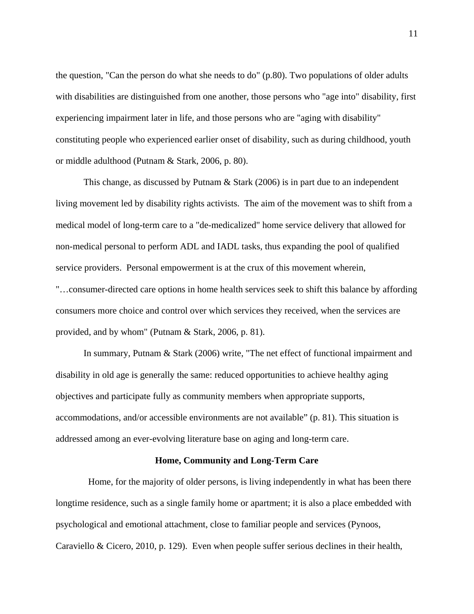the question, "Can the person do what she needs to do" (p.80). Two populations of older adults with disabilities are distinguished from one another, those persons who "age into" disability, first experiencing impairment later in life, and those persons who are "aging with disability" constituting people who experienced earlier onset of disability, such as during childhood, youth or middle adulthood (Putnam & Stark, 2006, p. 80).

This change, as discussed by Putnam & Stark (2006) is in part due to an independent living movement led by disability rights activists. The aim of the movement was to shift from a medical model of long-term care to a "de-medicalized" home service delivery that allowed for non-medical personal to perform ADL and IADL tasks, thus expanding the pool of qualified service providers. Personal empowerment is at the crux of this movement wherein, "…consumer-directed care options in home health services seek to shift this balance by affording consumers more choice and control over which services they received, when the services are provided, and by whom" (Putnam & Stark, 2006, p. 81).

In summary, Putnam & Stark (2006) write, "The net effect of functional impairment and disability in old age is generally the same: reduced opportunities to achieve healthy aging objectives and participate fully as community members when appropriate supports, accommodations, and/or accessible environments are not available" (p. 81). This situation is addressed among an ever-evolving literature base on aging and long-term care.

# **Home, Community and Long-Term Care**

 Home, for the majority of older persons, is living independently in what has been there longtime residence, such as a single family home or apartment; it is also a place embedded with psychological and emotional attachment, close to familiar people and services (Pynoos, Caraviello & Cicero, 2010, p. 129). Even when people suffer serious declines in their health,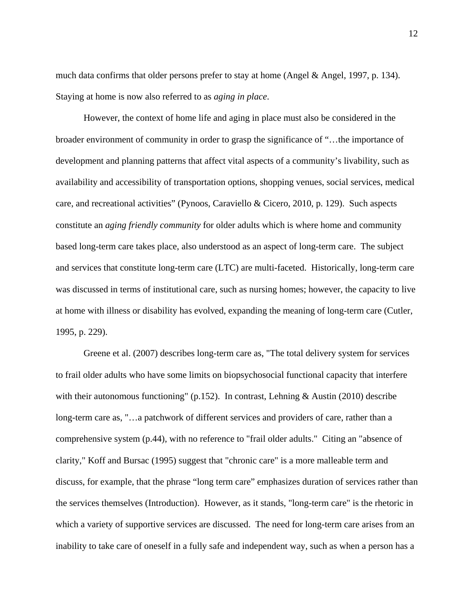much data confirms that older persons prefer to stay at home (Angel  $\&$  Angel, 1997, p. 134). Staying at home is now also referred to as *aging in place*.

However, the context of home life and aging in place must also be considered in the broader environment of community in order to grasp the significance of "…the importance of development and planning patterns that affect vital aspects of a community's livability, such as availability and accessibility of transportation options, shopping venues, social services, medical care, and recreational activities" (Pynoos, Caraviello & Cicero, 2010, p. 129). Such aspects constitute an *aging friendly community* for older adults which is where home and community based long-term care takes place, also understood as an aspect of long-term care. The subject and services that constitute long-term care (LTC) are multi-faceted. Historically, long-term care was discussed in terms of institutional care, such as nursing homes; however, the capacity to live at home with illness or disability has evolved, expanding the meaning of long-term care (Cutler, 1995, p. 229).

Greene et al. (2007) describes long-term care as, "The total delivery system for services to frail older adults who have some limits on biopsychosocial functional capacity that interfere with their autonomous functioning" (p.152). In contrast, Lehning & Austin (2010) describe long-term care as, "…a patchwork of different services and providers of care, rather than a comprehensive system (p.44), with no reference to "frail older adults." Citing an "absence of clarity," Koff and Bursac (1995) suggest that "chronic care" is a more malleable term and discuss, for example, that the phrase "long term care" emphasizes duration of services rather than the services themselves (Introduction). However, as it stands, "long-term care" is the rhetoric in which a variety of supportive services are discussed. The need for long-term care arises from an inability to take care of oneself in a fully safe and independent way, such as when a person has a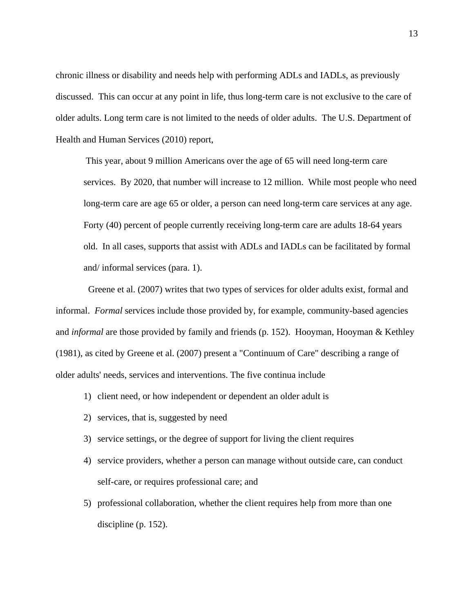chronic illness or disability and needs help with performing ADLs and IADLs, as previously discussed. This can occur at any point in life, thus long-term care is not exclusive to the care of older adults. Long term care is not limited to the needs of older adults. The U.S. Department of Health and Human Services (2010) report,

 This year, about 9 million Americans over the age of 65 will need long-term care services. By 2020, that number will increase to 12 million. While most people who need long-term care are age 65 or older, a person can need long-term care services at any age. Forty (40) percent of people currently receiving long-term care are adults 18-64 years old. In all cases, supports that assist with ADLs and IADLs can be facilitated by formal and/ informal services (para. 1).

 Greene et al. (2007) writes that two types of services for older adults exist, formal and informal. *Formal* services include those provided by, for example, community-based agencies and *informal* are those provided by family and friends (p. 152). Hooyman, Hooyman & Kethley (1981), as cited by Greene et al. (2007) present a "Continuum of Care" describing a range of older adults' needs, services and interventions. The five continua include

- 1) client need, or how independent or dependent an older adult is
- 2) services, that is, suggested by need
- 3) service settings, or the degree of support for living the client requires
- 4) service providers, whether a person can manage without outside care, can conduct self-care, or requires professional care; and
- 5) professional collaboration, whether the client requires help from more than one discipline (p. 152).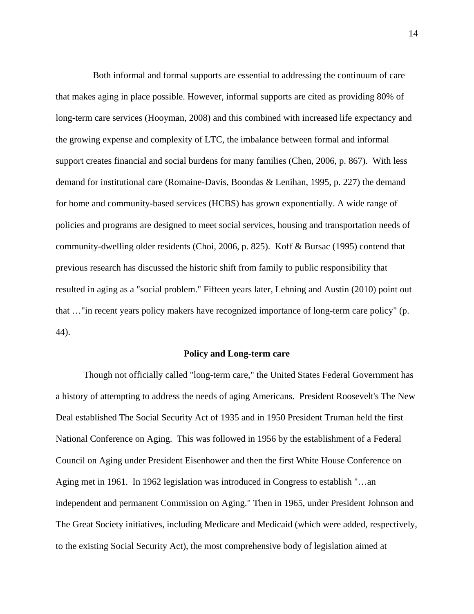Both informal and formal supports are essential to addressing the continuum of care that makes aging in place possible. However, informal supports are cited as providing 80% of long-term care services (Hooyman, 2008) and this combined with increased life expectancy and the growing expense and complexity of LTC, the imbalance between formal and informal support creates financial and social burdens for many families (Chen, 2006, p. 867). With less demand for institutional care (Romaine-Davis, Boondas & Lenihan, 1995, p. 227) the demand for home and community-based services (HCBS) has grown exponentially. A wide range of policies and programs are designed to meet social services, housing and transportation needs of community-dwelling older residents (Choi, 2006, p. 825). Koff & Bursac (1995) contend that previous research has discussed the historic shift from family to public responsibility that resulted in aging as a "social problem." Fifteen years later, Lehning and Austin (2010) point out that …"in recent years policy makers have recognized importance of long-term care policy" (p. 44).

#### **Policy and Long-term care**

Though not officially called "long-term care," the United States Federal Government has a history of attempting to address the needs of aging Americans. President Roosevelt's The New Deal established The Social Security Act of 1935 and in 1950 President Truman held the first National Conference on Aging. This was followed in 1956 by the establishment of a Federal Council on Aging under President Eisenhower and then the first White House Conference on Aging met in 1961. In 1962 legislation was introduced in Congress to establish "…an independent and permanent Commission on Aging." Then in 1965, under President Johnson and The Great Society initiatives, including Medicare and Medicaid (which were added, respectively, to the existing Social Security Act), the most comprehensive body of legislation aimed at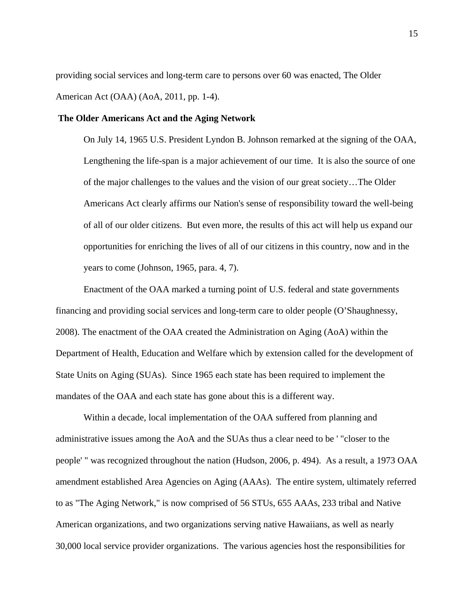providing social services and long-term care to persons over 60 was enacted, The Older American Act (OAA) (AoA, 2011, pp. 1-4).

#### **The Older Americans Act and the Aging Network**

On July 14, 1965 U.S. President Lyndon B. Johnson remarked at the signing of the OAA, Lengthening the life-span is a major achievement of our time. It is also the source of one of the major challenges to the values and the vision of our great society…The Older Americans Act clearly affirms our Nation's sense of responsibility toward the well-being of all of our older citizens. But even more, the results of this act will help us expand our opportunities for enriching the lives of all of our citizens in this country, now and in the years to come (Johnson, 1965, para. 4, 7).

Enactment of the OAA marked a turning point of U.S. federal and state governments financing and providing social services and long-term care to older people (O'Shaughnessy, 2008). The enactment of the OAA created the Administration on Aging (AoA) within the Department of Health, Education and Welfare which by extension called for the development of State Units on Aging (SUAs). Since 1965 each state has been required to implement the mandates of the OAA and each state has gone about this is a different way.

Within a decade, local implementation of the OAA suffered from planning and administrative issues among the AoA and the SUAs thus a clear need to be ' "closer to the people' " was recognized throughout the nation (Hudson, 2006, p. 494). As a result, a 1973 OAA amendment established Area Agencies on Aging (AAAs). The entire system, ultimately referred to as "The Aging Network," is now comprised of 56 STUs, 655 AAAs, 233 tribal and Native American organizations, and two organizations serving native Hawaiians, as well as nearly 30,000 local service provider organizations. The various agencies host the responsibilities for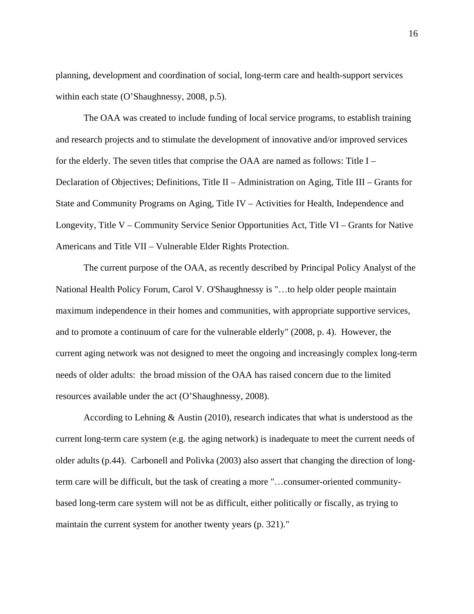planning, development and coordination of social, long-term care and health-support services within each state (O'Shaughnessy, 2008, p.5).

The OAA was created to include funding of local service programs, to establish training and research projects and to stimulate the development of innovative and/or improved services for the elderly. The seven titles that comprise the OAA are named as follows: Title I – Declaration of Objectives; Definitions, Title II – Administration on Aging, Title III – Grants for State and Community Programs on Aging, Title IV – Activities for Health, Independence and Longevity, Title V – Community Service Senior Opportunities Act, Title VI – Grants for Native Americans and Title VII – Vulnerable Elder Rights Protection.

The current purpose of the OAA, as recently described by Principal Policy Analyst of the National Health Policy Forum, Carol V. O'Shaughnessy is "…to help older people maintain maximum independence in their homes and communities, with appropriate supportive services, and to promote a continuum of care for the vulnerable elderly" (2008, p. 4). However, the current aging network was not designed to meet the ongoing and increasingly complex long-term needs of older adults: the broad mission of the OAA has raised concern due to the limited resources available under the act (O'Shaughnessy, 2008).

According to Lehning & Austin (2010), research indicates that what is understood as the current long-term care system (e.g. the aging network) is inadequate to meet the current needs of older adults (p.44). Carbonell and Polivka (2003) also assert that changing the direction of longterm care will be difficult, but the task of creating a more "…consumer-oriented communitybased long-term care system will not be as difficult, either politically or fiscally, as trying to maintain the current system for another twenty years (p. 321)."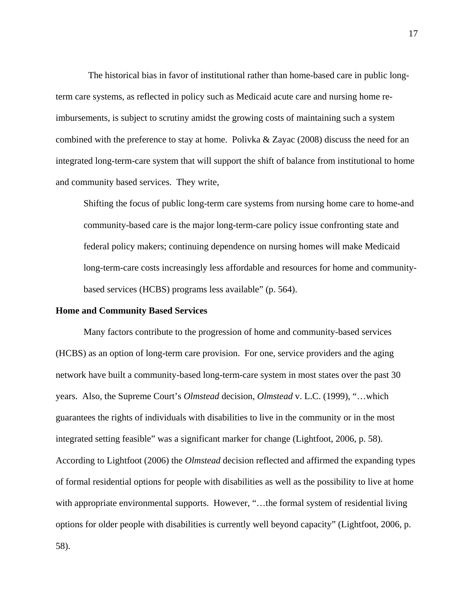The historical bias in favor of institutional rather than home-based care in public longterm care systems, as reflected in policy such as Medicaid acute care and nursing home reimbursements, is subject to scrutiny amidst the growing costs of maintaining such a system combined with the preference to stay at home. Polivka & Zayac (2008) discuss the need for an integrated long-term-care system that will support the shift of balance from institutional to home and community based services. They write,

Shifting the focus of public long-term care systems from nursing home care to home-and community-based care is the major long-term-care policy issue confronting state and federal policy makers; continuing dependence on nursing homes will make Medicaid long-term-care costs increasingly less affordable and resources for home and communitybased services (HCBS) programs less available" (p. 564).

#### **Home and Community Based Services**

Many factors contribute to the progression of home and community-based services (HCBS) as an option of long-term care provision. For one, service providers and the aging network have built a community-based long-term-care system in most states over the past 30 years. Also, the Supreme Court's *Olmstead* decision, *Olmstead* v. L.C. (1999), "…which guarantees the rights of individuals with disabilities to live in the community or in the most integrated setting feasible" was a significant marker for change (Lightfoot, 2006, p. 58). According to Lightfoot (2006) the *Olmstead* decision reflected and affirmed the expanding types of formal residential options for people with disabilities as well as the possibility to live at home with appropriate environmental supports. However, "...the formal system of residential living options for older people with disabilities is currently well beyond capacity" (Lightfoot, 2006, p. 58).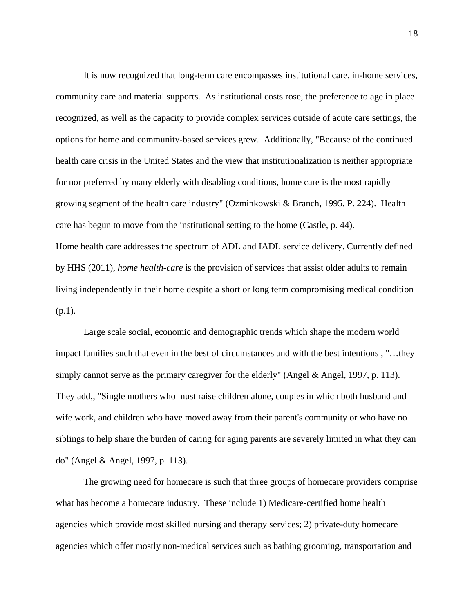It is now recognized that long-term care encompasses institutional care, in-home services, community care and material supports. As institutional costs rose, the preference to age in place recognized, as well as the capacity to provide complex services outside of acute care settings, the options for home and community-based services grew. Additionally, "Because of the continued health care crisis in the United States and the view that institutionalization is neither appropriate for nor preferred by many elderly with disabling conditions, home care is the most rapidly growing segment of the health care industry" (Ozminkowski & Branch, 1995. P. 224). Health care has begun to move from the institutional setting to the home (Castle, p. 44). Home health care addresses the spectrum of ADL and IADL service delivery. Currently defined by HHS (2011), *home health-care* is the provision of services that assist older adults to remain living independently in their home despite a short or long term compromising medical condition  $(p.1)$ .

Large scale social, economic and demographic trends which shape the modern world impact families such that even in the best of circumstances and with the best intentions , "…they simply cannot serve as the primary caregiver for the elderly" (Angel & Angel, 1997, p. 113). They add,, "Single mothers who must raise children alone, couples in which both husband and wife work, and children who have moved away from their parent's community or who have no siblings to help share the burden of caring for aging parents are severely limited in what they can do" (Angel & Angel, 1997, p. 113).

The growing need for homecare is such that three groups of homecare providers comprise what has become a homecare industry. These include 1) Medicare-certified home health agencies which provide most skilled nursing and therapy services; 2) private-duty homecare agencies which offer mostly non-medical services such as bathing grooming, transportation and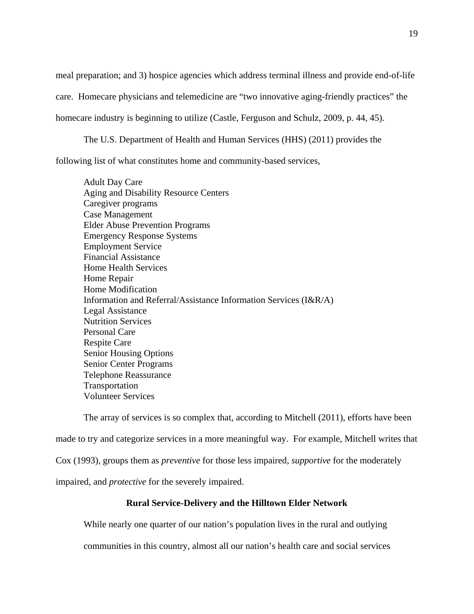meal preparation; and 3) hospice agencies which address terminal illness and provide end-of-life care. Homecare physicians and telemedicine are "two innovative aging-friendly practices" the homecare industry is beginning to utilize (Castle, Ferguson and Schulz, 2009, p. 44, 45).

The U.S. Department of Health and Human Services (HHS) (2011) provides the following list of what constitutes home and community-based services,

Adult Day Care Aging and Disability Resource Centers Caregiver programs Case Management Elder Abuse Prevention Programs Emergency Response Systems Employment Service Financial Assistance Home Health Services Home Repair Home Modification Information and Referral/Assistance Information Services (I&R/A) Legal Assistance Nutrition Services Personal Care Respite Care Senior Housing Options Senior Center Programs Telephone Reassurance Transportation Volunteer Services

The array of services is so complex that, according to Mitchell (2011), efforts have been made to try and categorize services in a more meaningful way. For example, Mitchell writes that Cox (1993), groups them as *preventive* for those less impaired, *supportive* for the moderately impaired, and *protective* for the severely impaired.

# **Rural Service-Delivery and the Hilltown Elder Network**

While nearly one quarter of our nation's population lives in the rural and outlying

communities in this country, almost all our nation's health care and social services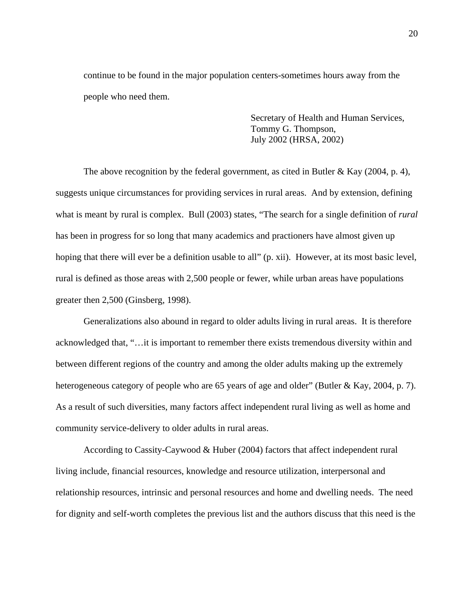continue to be found in the major population centers-sometimes hours away from the people who need them.

> Secretary of Health and Human Services, Tommy G. Thompson, July 2002 (HRSA, 2002)

The above recognition by the federal government, as cited in Butler & Kay (2004, p. 4), suggests unique circumstances for providing services in rural areas. And by extension, defining what is meant by rural is complex. Bull (2003) states, "The search for a single definition of *rural* has been in progress for so long that many academics and practioners have almost given up hoping that there will ever be a definition usable to all" (p. xii). However, at its most basic level, rural is defined as those areas with 2,500 people or fewer, while urban areas have populations greater then 2,500 (Ginsberg, 1998).

Generalizations also abound in regard to older adults living in rural areas. It is therefore acknowledged that, "…it is important to remember there exists tremendous diversity within and between different regions of the country and among the older adults making up the extremely heterogeneous category of people who are 65 years of age and older" (Butler & Kay, 2004, p. 7). As a result of such diversities, many factors affect independent rural living as well as home and community service-delivery to older adults in rural areas.

According to Cassity-Caywood & Huber (2004) factors that affect independent rural living include, financial resources, knowledge and resource utilization, interpersonal and relationship resources, intrinsic and personal resources and home and dwelling needs. The need for dignity and self-worth completes the previous list and the authors discuss that this need is the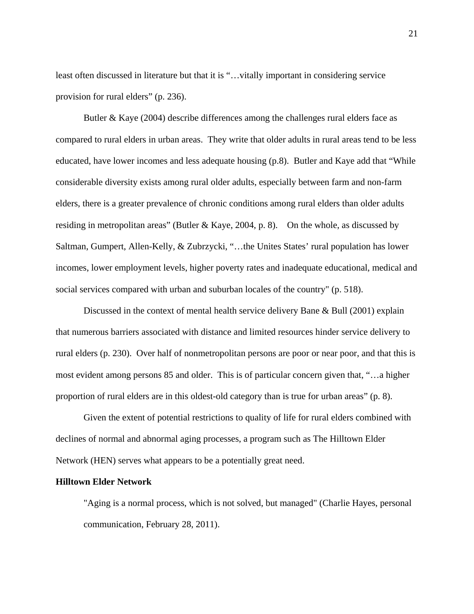least often discussed in literature but that it is "…vitally important in considering service provision for rural elders" (p. 236).

Butler & Kaye (2004) describe differences among the challenges rural elders face as compared to rural elders in urban areas. They write that older adults in rural areas tend to be less educated, have lower incomes and less adequate housing (p.8). Butler and Kaye add that "While considerable diversity exists among rural older adults, especially between farm and non-farm elders, there is a greater prevalence of chronic conditions among rural elders than older adults residing in metropolitan areas" (Butler & Kaye, 2004, p. 8). On the whole, as discussed by Saltman, Gumpert, Allen-Kelly, & Zubrzycki, "…the Unites States' rural population has lower incomes, lower employment levels, higher poverty rates and inadequate educational, medical and social services compared with urban and suburban locales of the country" (p. 518).

Discussed in the context of mental health service delivery Bane & Bull (2001) explain that numerous barriers associated with distance and limited resources hinder service delivery to rural elders (p. 230). Over half of nonmetropolitan persons are poor or near poor, and that this is most evident among persons 85 and older. This is of particular concern given that, "…a higher proportion of rural elders are in this oldest-old category than is true for urban areas" (p. 8).

Given the extent of potential restrictions to quality of life for rural elders combined with declines of normal and abnormal aging processes, a program such as The Hilltown Elder Network (HEN) serves what appears to be a potentially great need.

# **Hilltown Elder Network**

"Aging is a normal process, which is not solved, but managed" (Charlie Hayes, personal communication, February 28, 2011).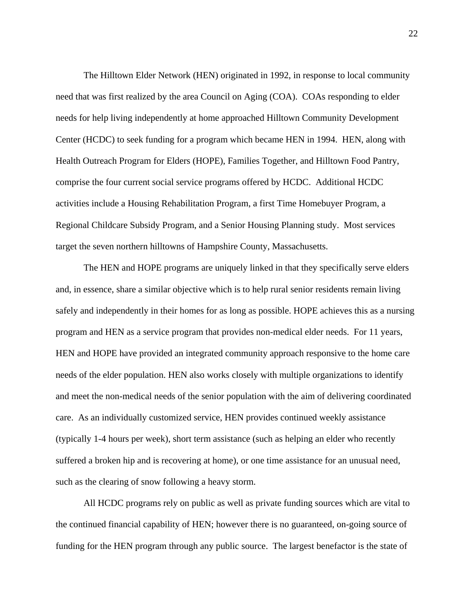The Hilltown Elder Network (HEN) originated in 1992, in response to local community need that was first realized by the area Council on Aging (COA). COAs responding to elder needs for help living independently at home approached Hilltown Community Development Center (HCDC) to seek funding for a program which became HEN in 1994. HEN, along with Health Outreach Program for Elders (HOPE), Families Together, and Hilltown Food Pantry, comprise the four current social service programs offered by HCDC. Additional HCDC activities include a Housing Rehabilitation Program, a first Time Homebuyer Program, a Regional Childcare Subsidy Program, and a Senior Housing Planning study. Most services target the seven northern hilltowns of Hampshire County, Massachusetts.

The HEN and HOPE programs are uniquely linked in that they specifically serve elders and, in essence, share a similar objective which is to help rural senior residents remain living safely and independently in their homes for as long as possible. HOPE achieves this as a nursing program and HEN as a service program that provides non-medical elder needs. For 11 years, HEN and HOPE have provided an integrated community approach responsive to the home care needs of the elder population. HEN also works closely with multiple organizations to identify and meet the non-medical needs of the senior population with the aim of delivering coordinated care. As an individually customized service, HEN provides continued weekly assistance (typically 1-4 hours per week), short term assistance (such as helping an elder who recently suffered a broken hip and is recovering at home), or one time assistance for an unusual need, such as the clearing of snow following a heavy storm.

All HCDC programs rely on public as well as private funding sources which are vital to the continued financial capability of HEN; however there is no guaranteed, on-going source of funding for the HEN program through any public source. The largest benefactor is the state of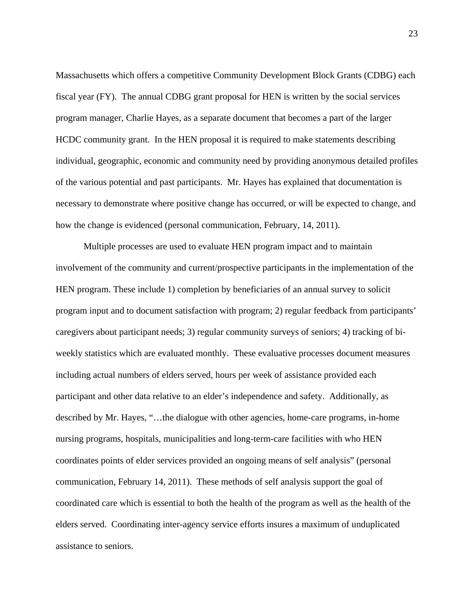Massachusetts which offers a competitive Community Development Block Grants (CDBG) each fiscal year (FY). The annual CDBG grant proposal for HEN is written by the social services program manager, Charlie Hayes, as a separate document that becomes a part of the larger HCDC community grant. In the HEN proposal it is required to make statements describing individual, geographic, economic and community need by providing anonymous detailed profiles of the various potential and past participants. Mr. Hayes has explained that documentation is necessary to demonstrate where positive change has occurred, or will be expected to change, and how the change is evidenced (personal communication, February, 14, 2011).

Multiple processes are used to evaluate HEN program impact and to maintain involvement of the community and current/prospective participants in the implementation of the HEN program. These include 1) completion by beneficiaries of an annual survey to solicit program input and to document satisfaction with program; 2) regular feedback from participants' caregivers about participant needs; 3) regular community surveys of seniors; 4) tracking of biweekly statistics which are evaluated monthly. These evaluative processes document measures including actual numbers of elders served, hours per week of assistance provided each participant and other data relative to an elder's independence and safety. Additionally, as described by Mr. Hayes, "…the dialogue with other agencies, home-care programs, in-home nursing programs, hospitals, municipalities and long-term-care facilities with who HEN coordinates points of elder services provided an ongoing means of self analysis" (personal communication, February 14, 2011). These methods of self analysis support the goal of coordinated care which is essential to both the health of the program as well as the health of the elders served. Coordinating inter-agency service efforts insures a maximum of unduplicated assistance to seniors.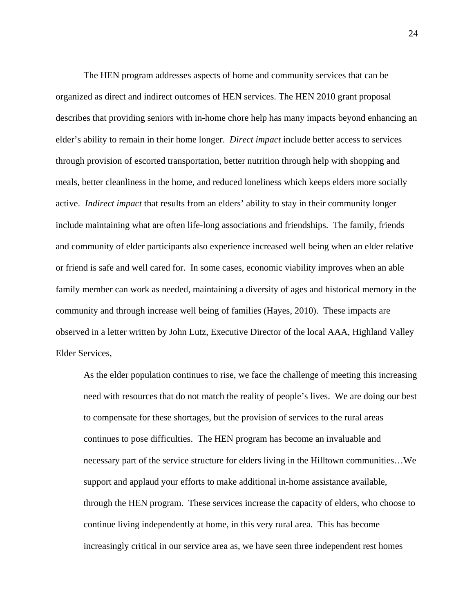The HEN program addresses aspects of home and community services that can be organized as direct and indirect outcomes of HEN services. The HEN 2010 grant proposal describes that providing seniors with in-home chore help has many impacts beyond enhancing an elder's ability to remain in their home longer. *Direct impact* include better access to services through provision of escorted transportation, better nutrition through help with shopping and meals, better cleanliness in the home, and reduced loneliness which keeps elders more socially active. *Indirect impact* that results from an elders' ability to stay in their community longer include maintaining what are often life-long associations and friendships. The family, friends and community of elder participants also experience increased well being when an elder relative or friend is safe and well cared for. In some cases, economic viability improves when an able family member can work as needed, maintaining a diversity of ages and historical memory in the community and through increase well being of families (Hayes, 2010). These impacts are observed in a letter written by John Lutz, Executive Director of the local AAA, Highland Valley Elder Services,

As the elder population continues to rise, we face the challenge of meeting this increasing need with resources that do not match the reality of people's lives. We are doing our best to compensate for these shortages, but the provision of services to the rural areas continues to pose difficulties. The HEN program has become an invaluable and necessary part of the service structure for elders living in the Hilltown communities…We support and applaud your efforts to make additional in-home assistance available, through the HEN program. These services increase the capacity of elders, who choose to continue living independently at home, in this very rural area. This has become increasingly critical in our service area as, we have seen three independent rest homes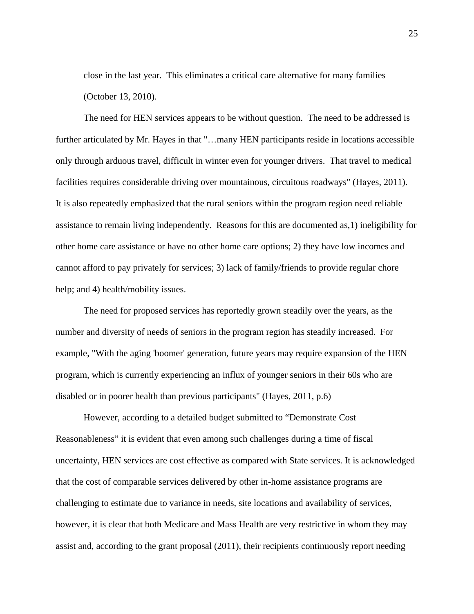close in the last year. This eliminates a critical care alternative for many families (October 13, 2010).

The need for HEN services appears to be without question. The need to be addressed is further articulated by Mr. Hayes in that "...many HEN participants reside in locations accessible only through arduous travel, difficult in winter even for younger drivers. That travel to medical facilities requires considerable driving over mountainous, circuitous roadways" (Hayes, 2011). It is also repeatedly emphasized that the rural seniors within the program region need reliable assistance to remain living independently. Reasons for this are documented as,1) ineligibility for other home care assistance or have no other home care options; 2) they have low incomes and cannot afford to pay privately for services; 3) lack of family/friends to provide regular chore help; and 4) health/mobility issues.

The need for proposed services has reportedly grown steadily over the years, as the number and diversity of needs of seniors in the program region has steadily increased. For example, "With the aging 'boomer' generation, future years may require expansion of the HEN program, which is currently experiencing an influx of younger seniors in their 60s who are disabled or in poorer health than previous participants" (Hayes, 2011, p.6)

However, according to a detailed budget submitted to "Demonstrate Cost Reasonableness" it is evident that even among such challenges during a time of fiscal uncertainty, HEN services are cost effective as compared with State services. It is acknowledged that the cost of comparable services delivered by other in-home assistance programs are challenging to estimate due to variance in needs, site locations and availability of services, however, it is clear that both Medicare and Mass Health are very restrictive in whom they may assist and, according to the grant proposal (2011), their recipients continuously report needing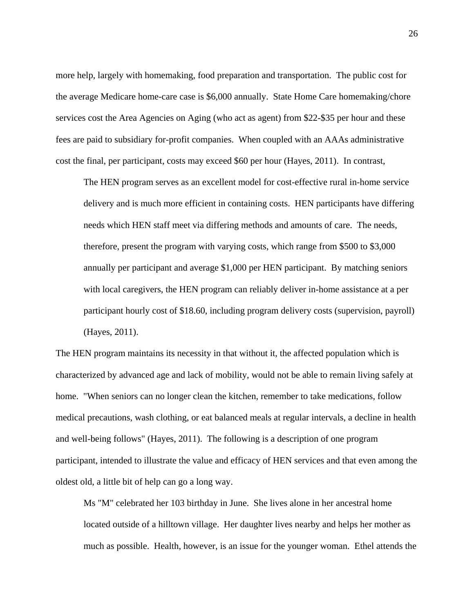more help, largely with homemaking, food preparation and transportation. The public cost for the average Medicare home-care case is \$6,000 annually. State Home Care homemaking/chore services cost the Area Agencies on Aging (who act as agent) from \$22-\$35 per hour and these fees are paid to subsidiary for-profit companies. When coupled with an AAAs administrative cost the final, per participant, costs may exceed \$60 per hour (Hayes, 2011). In contrast,

The HEN program serves as an excellent model for cost-effective rural in-home service delivery and is much more efficient in containing costs. HEN participants have differing needs which HEN staff meet via differing methods and amounts of care. The needs, therefore, present the program with varying costs, which range from \$500 to \$3,000 annually per participant and average \$1,000 per HEN participant. By matching seniors with local caregivers, the HEN program can reliably deliver in-home assistance at a per participant hourly cost of \$18.60, including program delivery costs (supervision, payroll) (Hayes, 2011).

The HEN program maintains its necessity in that without it, the affected population which is characterized by advanced age and lack of mobility, would not be able to remain living safely at home. "When seniors can no longer clean the kitchen, remember to take medications, follow medical precautions, wash clothing, or eat balanced meals at regular intervals, a decline in health and well-being follows" (Hayes, 2011). The following is a description of one program participant, intended to illustrate the value and efficacy of HEN services and that even among the oldest old, a little bit of help can go a long way.

Ms "M" celebrated her 103 birthday in June. She lives alone in her ancestral home located outside of a hilltown village. Her daughter lives nearby and helps her mother as much as possible. Health, however, is an issue for the younger woman. Ethel attends the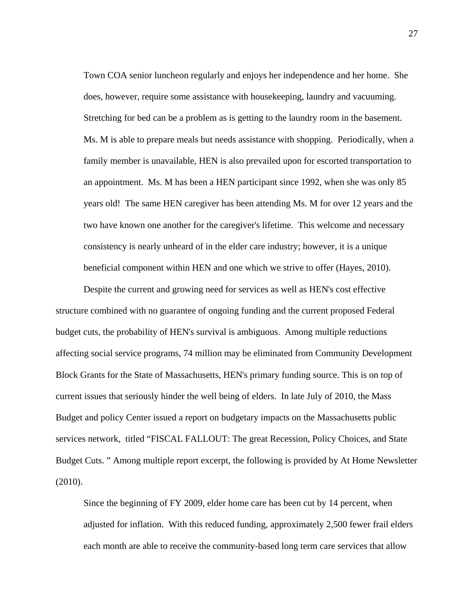Town COA senior luncheon regularly and enjoys her independence and her home. She does, however, require some assistance with housekeeping, laundry and vacuuming. Stretching for bed can be a problem as is getting to the laundry room in the basement. Ms. M is able to prepare meals but needs assistance with shopping. Periodically, when a family member is unavailable, HEN is also prevailed upon for escorted transportation to an appointment. Ms. M has been a HEN participant since 1992, when she was only 85 years old! The same HEN caregiver has been attending Ms. M for over 12 years and the two have known one another for the caregiver's lifetime. This welcome and necessary consistency is nearly unheard of in the elder care industry; however, it is a unique beneficial component within HEN and one which we strive to offer (Hayes, 2010).

Despite the current and growing need for services as well as HEN's cost effective structure combined with no guarantee of ongoing funding and the current proposed Federal budget cuts, the probability of HEN's survival is ambiguous. Among multiple reductions affecting social service programs, 74 million may be eliminated from Community Development Block Grants for the State of Massachusetts, HEN's primary funding source. This is on top of current issues that seriously hinder the well being of elders. In late July of 2010, the Mass Budget and policy Center issued a report on budgetary impacts on the Massachusetts public services network, titled "FISCAL FALLOUT: The great Recession, Policy Choices, and State Budget Cuts. " Among multiple report excerpt, the following is provided by At Home Newsletter (2010).

Since the beginning of FY 2009, elder home care has been cut by 14 percent, when adjusted for inflation. With this reduced funding, approximately 2,500 fewer frail elders each month are able to receive the community-based long term care services that allow

27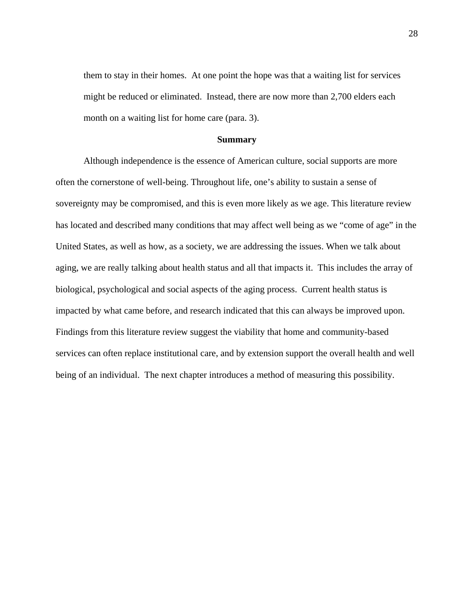them to stay in their homes. At one point the hope was that a waiting list for services might be reduced or eliminated. Instead, there are now more than 2,700 elders each month on a waiting list for home care (para. 3).

#### **Summary**

Although independence is the essence of American culture, social supports are more often the cornerstone of well-being. Throughout life, one's ability to sustain a sense of sovereignty may be compromised, and this is even more likely as we age. This literature review has located and described many conditions that may affect well being as we "come of age" in the United States, as well as how, as a society, we are addressing the issues. When we talk about aging, we are really talking about health status and all that impacts it. This includes the array of biological, psychological and social aspects of the aging process. Current health status is impacted by what came before, and research indicated that this can always be improved upon. Findings from this literature review suggest the viability that home and community-based services can often replace institutional care, and by extension support the overall health and well being of an individual. The next chapter introduces a method of measuring this possibility.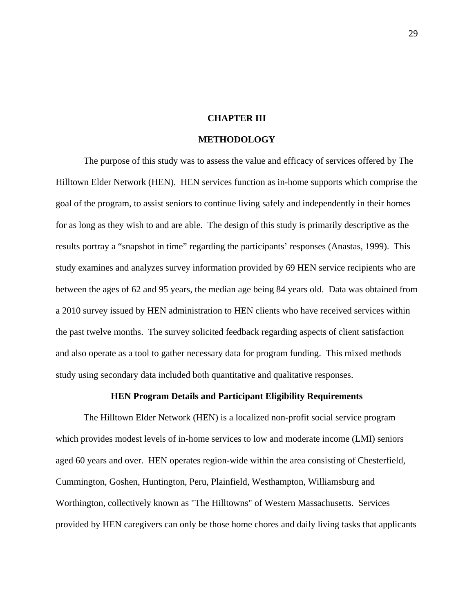## **CHAPTER III**

#### **METHODOLOGY**

The purpose of this study was to assess the value and efficacy of services offered by The Hilltown Elder Network (HEN). HEN services function as in-home supports which comprise the goal of the program, to assist seniors to continue living safely and independently in their homes for as long as they wish to and are able. The design of this study is primarily descriptive as the results portray a "snapshot in time" regarding the participants' responses (Anastas, 1999). This study examines and analyzes survey information provided by 69 HEN service recipients who are between the ages of 62 and 95 years, the median age being 84 years old. Data was obtained from a 2010 survey issued by HEN administration to HEN clients who have received services within the past twelve months. The survey solicited feedback regarding aspects of client satisfaction and also operate as a tool to gather necessary data for program funding. This mixed methods study using secondary data included both quantitative and qualitative responses.

# **HEN Program Details and Participant Eligibility Requirements**

The Hilltown Elder Network (HEN) is a localized non-profit social service program which provides modest levels of in-home services to low and moderate income (LMI) seniors aged 60 years and over. HEN operates region-wide within the area consisting of Chesterfield, Cummington, Goshen, Huntington, Peru, Plainfield, Westhampton, Williamsburg and Worthington, collectively known as "The Hilltowns" of Western Massachusetts. Services provided by HEN caregivers can only be those home chores and daily living tasks that applicants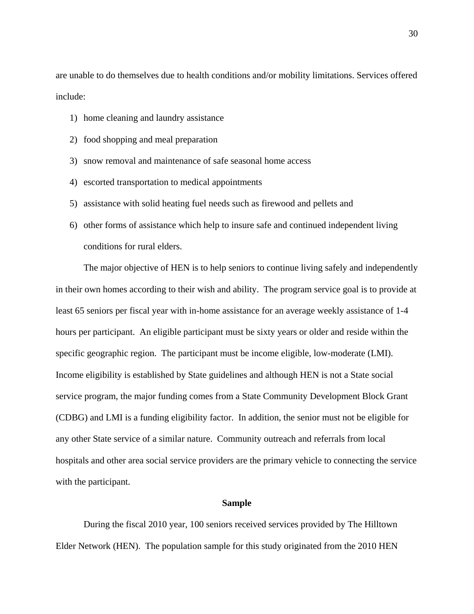are unable to do themselves due to health conditions and/or mobility limitations. Services offered include:

- 1) home cleaning and laundry assistance
- 2) food shopping and meal preparation
- 3) snow removal and maintenance of safe seasonal home access
- 4) escorted transportation to medical appointments
- 5) assistance with solid heating fuel needs such as firewood and pellets and
- 6) other forms of assistance which help to insure safe and continued independent living conditions for rural elders.

The major objective of HEN is to help seniors to continue living safely and independently in their own homes according to their wish and ability. The program service goal is to provide at least 65 seniors per fiscal year with in-home assistance for an average weekly assistance of 1-4 hours per participant. An eligible participant must be sixty years or older and reside within the specific geographic region. The participant must be income eligible, low-moderate (LMI). Income eligibility is established by State guidelines and although HEN is not a State social service program, the major funding comes from a State Community Development Block Grant (CDBG) and LMI is a funding eligibility factor. In addition, the senior must not be eligible for any other State service of a similar nature. Community outreach and referrals from local hospitals and other area social service providers are the primary vehicle to connecting the service with the participant.

#### **Sample**

During the fiscal 2010 year, 100 seniors received services provided by The Hilltown Elder Network (HEN). The population sample for this study originated from the 2010 HEN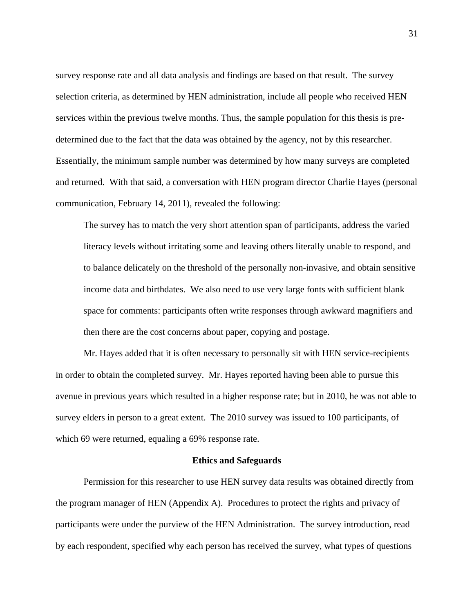survey response rate and all data analysis and findings are based on that result. The survey selection criteria, as determined by HEN administration, include all people who received HEN services within the previous twelve months. Thus, the sample population for this thesis is predetermined due to the fact that the data was obtained by the agency, not by this researcher. Essentially, the minimum sample number was determined by how many surveys are completed and returned. With that said, a conversation with HEN program director Charlie Hayes (personal communication, February 14, 2011), revealed the following:

The survey has to match the very short attention span of participants, address the varied literacy levels without irritating some and leaving others literally unable to respond, and to balance delicately on the threshold of the personally non-invasive, and obtain sensitive income data and birthdates. We also need to use very large fonts with sufficient blank space for comments: participants often write responses through awkward magnifiers and then there are the cost concerns about paper, copying and postage.

Mr. Hayes added that it is often necessary to personally sit with HEN service-recipients in order to obtain the completed survey. Mr. Hayes reported having been able to pursue this avenue in previous years which resulted in a higher response rate; but in 2010, he was not able to survey elders in person to a great extent. The 2010 survey was issued to 100 participants, of which 69 were returned, equaling a 69% response rate.

## **Ethics and Safeguards**

Permission for this researcher to use HEN survey data results was obtained directly from the program manager of HEN (Appendix A). Procedures to protect the rights and privacy of participants were under the purview of the HEN Administration. The survey introduction, read by each respondent, specified why each person has received the survey, what types of questions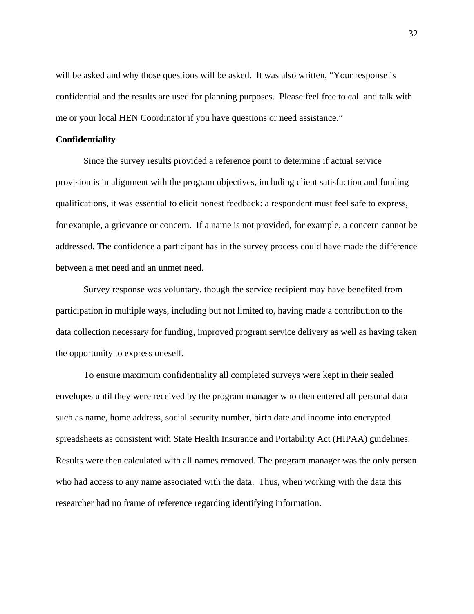will be asked and why those questions will be asked. It was also written, "Your response is confidential and the results are used for planning purposes. Please feel free to call and talk with me or your local HEN Coordinator if you have questions or need assistance."

## **Confidentiality**

Since the survey results provided a reference point to determine if actual service provision is in alignment with the program objectives, including client satisfaction and funding qualifications, it was essential to elicit honest feedback: a respondent must feel safe to express, for example, a grievance or concern. If a name is not provided, for example, a concern cannot be addressed. The confidence a participant has in the survey process could have made the difference between a met need and an unmet need.

Survey response was voluntary, though the service recipient may have benefited from participation in multiple ways, including but not limited to, having made a contribution to the data collection necessary for funding, improved program service delivery as well as having taken the opportunity to express oneself.

To ensure maximum confidentiality all completed surveys were kept in their sealed envelopes until they were received by the program manager who then entered all personal data such as name, home address, social security number, birth date and income into encrypted spreadsheets as consistent with State Health Insurance and Portability Act (HIPAA) guidelines. Results were then calculated with all names removed. The program manager was the only person who had access to any name associated with the data. Thus, when working with the data this researcher had no frame of reference regarding identifying information.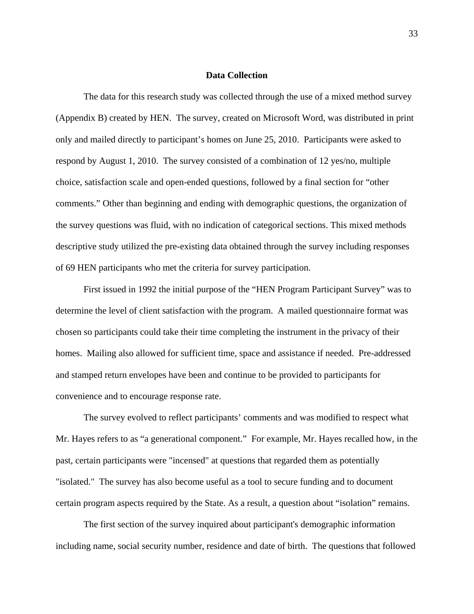## **Data Collection**

The data for this research study was collected through the use of a mixed method survey (Appendix B) created by HEN. The survey, created on Microsoft Word, was distributed in print only and mailed directly to participant's homes on June 25, 2010. Participants were asked to respond by August 1, 2010. The survey consisted of a combination of 12 yes/no, multiple choice, satisfaction scale and open-ended questions, followed by a final section for "other comments." Other than beginning and ending with demographic questions, the organization of the survey questions was fluid, with no indication of categorical sections. This mixed methods descriptive study utilized the pre-existing data obtained through the survey including responses of 69 HEN participants who met the criteria for survey participation.

First issued in 1992 the initial purpose of the "HEN Program Participant Survey" was to determine the level of client satisfaction with the program. A mailed questionnaire format was chosen so participants could take their time completing the instrument in the privacy of their homes. Mailing also allowed for sufficient time, space and assistance if needed. Pre-addressed and stamped return envelopes have been and continue to be provided to participants for convenience and to encourage response rate.

The survey evolved to reflect participants' comments and was modified to respect what Mr. Hayes refers to as "a generational component." For example, Mr. Hayes recalled how, in the past, certain participants were "incensed" at questions that regarded them as potentially "isolated." The survey has also become useful as a tool to secure funding and to document certain program aspects required by the State. As a result, a question about "isolation" remains.

The first section of the survey inquired about participant's demographic information including name, social security number, residence and date of birth. The questions that followed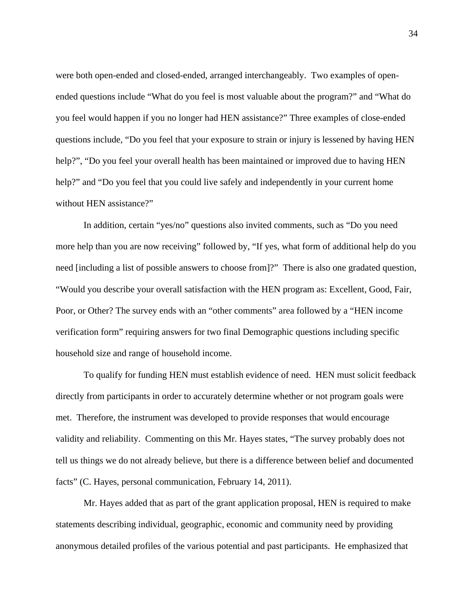were both open-ended and closed-ended, arranged interchangeably. Two examples of openended questions include "What do you feel is most valuable about the program?" and "What do you feel would happen if you no longer had HEN assistance?" Three examples of close-ended questions include, "Do you feel that your exposure to strain or injury is lessened by having HEN help?", "Do you feel your overall health has been maintained or improved due to having HEN help?" and "Do you feel that you could live safely and independently in your current home without HEN assistance?"

In addition, certain "yes/no" questions also invited comments, such as "Do you need more help than you are now receiving" followed by, "If yes, what form of additional help do you need [including a list of possible answers to choose from]?" There is also one gradated question, "Would you describe your overall satisfaction with the HEN program as: Excellent, Good, Fair, Poor, or Other? The survey ends with an "other comments" area followed by a "HEN income verification form" requiring answers for two final Demographic questions including specific household size and range of household income.

To qualify for funding HEN must establish evidence of need. HEN must solicit feedback directly from participants in order to accurately determine whether or not program goals were met. Therefore, the instrument was developed to provide responses that would encourage validity and reliability. Commenting on this Mr. Hayes states, "The survey probably does not tell us things we do not already believe, but there is a difference between belief and documented facts" (C. Hayes, personal communication, February 14, 2011).

Mr. Hayes added that as part of the grant application proposal, HEN is required to make statements describing individual, geographic, economic and community need by providing anonymous detailed profiles of the various potential and past participants. He emphasized that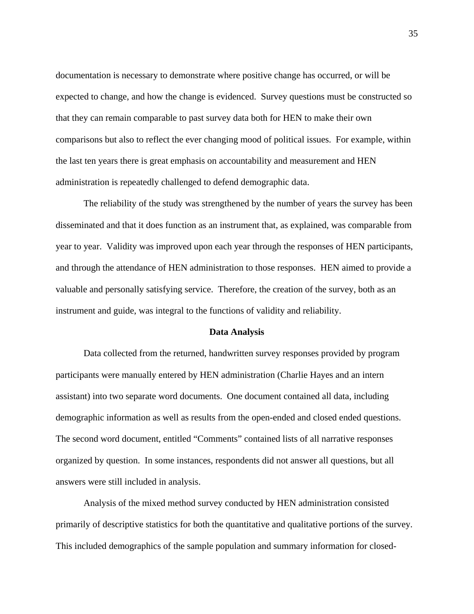documentation is necessary to demonstrate where positive change has occurred, or will be expected to change, and how the change is evidenced. Survey questions must be constructed so that they can remain comparable to past survey data both for HEN to make their own comparisons but also to reflect the ever changing mood of political issues. For example, within the last ten years there is great emphasis on accountability and measurement and HEN administration is repeatedly challenged to defend demographic data.

The reliability of the study was strengthened by the number of years the survey has been disseminated and that it does function as an instrument that, as explained, was comparable from year to year. Validity was improved upon each year through the responses of HEN participants, and through the attendance of HEN administration to those responses. HEN aimed to provide a valuable and personally satisfying service. Therefore, the creation of the survey, both as an instrument and guide, was integral to the functions of validity and reliability.

## **Data Analysis**

Data collected from the returned, handwritten survey responses provided by program participants were manually entered by HEN administration (Charlie Hayes and an intern assistant) into two separate word documents. One document contained all data, including demographic information as well as results from the open-ended and closed ended questions. The second word document, entitled "Comments" contained lists of all narrative responses organized by question. In some instances, respondents did not answer all questions, but all answers were still included in analysis.

Analysis of the mixed method survey conducted by HEN administration consisted primarily of descriptive statistics for both the quantitative and qualitative portions of the survey. This included demographics of the sample population and summary information for closed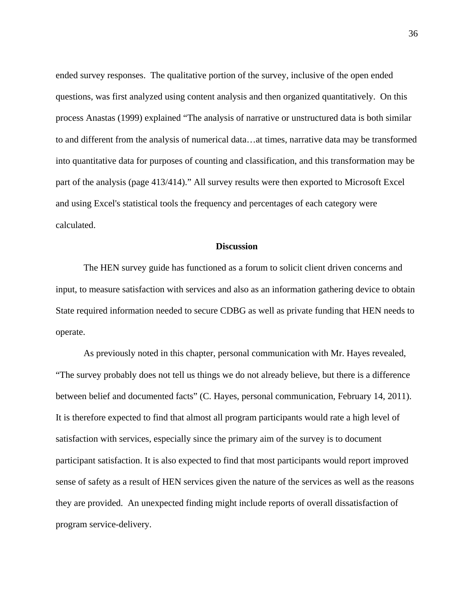ended survey responses. The qualitative portion of the survey, inclusive of the open ended questions, was first analyzed using content analysis and then organized quantitatively. On this process Anastas (1999) explained "The analysis of narrative or unstructured data is both similar to and different from the analysis of numerical data…at times, narrative data may be transformed into quantitative data for purposes of counting and classification, and this transformation may be part of the analysis (page 413/414)." All survey results were then exported to Microsoft Excel and using Excel's statistical tools the frequency and percentages of each category were calculated.

## **Discussion**

The HEN survey guide has functioned as a forum to solicit client driven concerns and input, to measure satisfaction with services and also as an information gathering device to obtain State required information needed to secure CDBG as well as private funding that HEN needs to operate.

As previously noted in this chapter, personal communication with Mr. Hayes revealed, "The survey probably does not tell us things we do not already believe, but there is a difference between belief and documented facts" (C. Hayes, personal communication, February 14, 2011). It is therefore expected to find that almost all program participants would rate a high level of satisfaction with services, especially since the primary aim of the survey is to document participant satisfaction. It is also expected to find that most participants would report improved sense of safety as a result of HEN services given the nature of the services as well as the reasons they are provided. An unexpected finding might include reports of overall dissatisfaction of program service-delivery.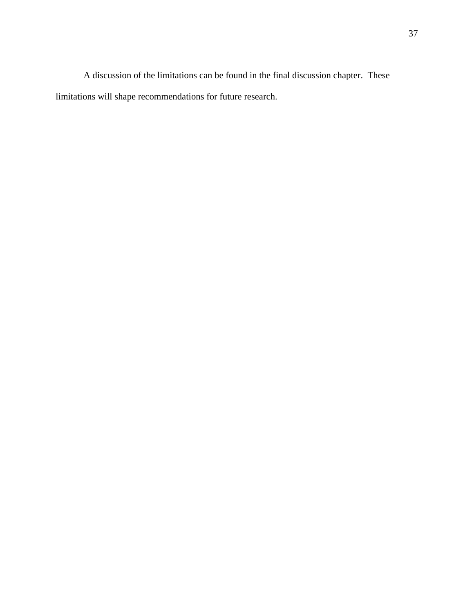A discussion of the limitations can be found in the final discussion chapter. These limitations will shape recommendations for future research.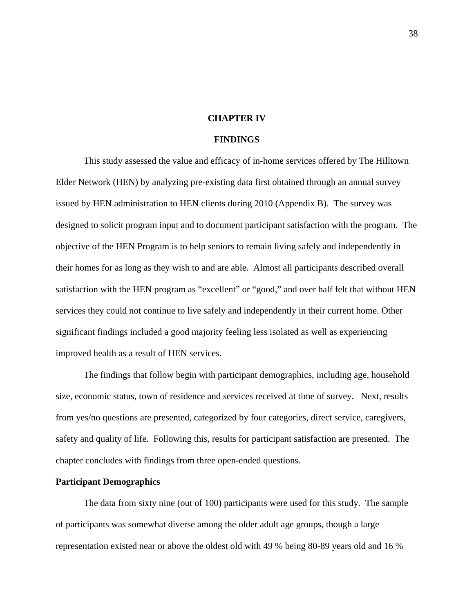## **CHAPTER IV**

#### **FINDINGS**

This study assessed the value and efficacy of in-home services offered by The Hilltown Elder Network (HEN) by analyzing pre-existing data first obtained through an annual survey issued by HEN administration to HEN clients during 2010 (Appendix B). The survey was designed to solicit program input and to document participant satisfaction with the program. The objective of the HEN Program is to help seniors to remain living safely and independently in their homes for as long as they wish to and are able. Almost all participants described overall satisfaction with the HEN program as "excellent" or "good," and over half felt that without HEN services they could not continue to live safely and independently in their current home. Other significant findings included a good majority feeling less isolated as well as experiencing improved health as a result of HEN services.

The findings that follow begin with participant demographics, including age, household size, economic status, town of residence and services received at time of survey. Next, results from yes/no questions are presented, categorized by four categories, direct service, caregivers, safety and quality of life. Following this, results for participant satisfaction are presented. The chapter concludes with findings from three open-ended questions.

# **Participant Demographics**

The data from sixty nine (out of 100) participants were used for this study. The sample of participants was somewhat diverse among the older adult age groups, though a large representation existed near or above the oldest old with 49 % being 80-89 years old and 16 %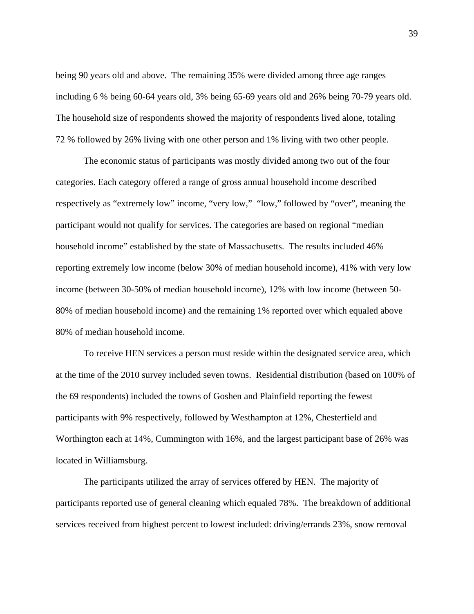being 90 years old and above. The remaining 35% were divided among three age ranges including 6 % being 60-64 years old, 3% being 65-69 years old and 26% being 70-79 years old. The household size of respondents showed the majority of respondents lived alone, totaling 72 % followed by 26% living with one other person and 1% living with two other people.

The economic status of participants was mostly divided among two out of the four categories. Each category offered a range of gross annual household income described respectively as "extremely low" income, "very low," "low," followed by "over", meaning the participant would not qualify for services. The categories are based on regional "median household income" established by the state of Massachusetts. The results included 46% reporting extremely low income (below 30% of median household income), 41% with very low income (between 30-50% of median household income), 12% with low income (between 50- 80% of median household income) and the remaining 1% reported over which equaled above 80% of median household income.

To receive HEN services a person must reside within the designated service area, which at the time of the 2010 survey included seven towns. Residential distribution (based on 100% of the 69 respondents) included the towns of Goshen and Plainfield reporting the fewest participants with 9% respectively, followed by Westhampton at 12%, Chesterfield and Worthington each at 14%, Cummington with 16%, and the largest participant base of 26% was located in Williamsburg.

The participants utilized the array of services offered by HEN. The majority of participants reported use of general cleaning which equaled 78%. The breakdown of additional services received from highest percent to lowest included: driving/errands 23%, snow removal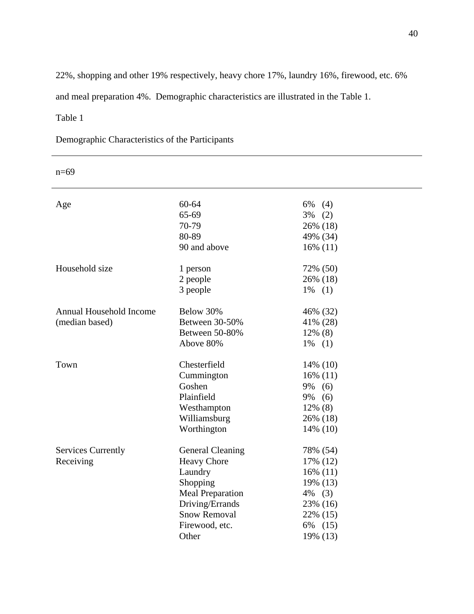22%, shopping and other 19% respectively, heavy chore 17%, laundry 16%, firewood, etc. 6%

and meal preparation 4%. Demographic characteristics are illustrated in the Table 1.

# Table 1

Demographic Characteristics of the Participants

| Age                       | 60-64<br>65-69          | $6\%$ (4)   |  |
|---------------------------|-------------------------|-------------|--|
|                           |                         | $3\%$ (2)   |  |
|                           | 70-79                   | 26% (18)    |  |
|                           | 80-89                   | 49% (34)    |  |
|                           | 90 and above            | $16\%$ (11) |  |
| Household size            | 1 person                | 72% (50)    |  |
|                           | 2 people                | 26% (18)    |  |
|                           | 3 people                | $1\%$ (1)   |  |
| Annual Household Income   | Below 30%               | 46% (32)    |  |
| (median based)            | Between 30-50%          | 41% (28)    |  |
|                           | Between 50-80%          | $12\%$ (8)  |  |
|                           | Above 80%               | $1\%$ (1)   |  |
|                           |                         |             |  |
| Town                      | Chesterfield            | 14% (10)    |  |
|                           | Cummington              | $16\%$ (11) |  |
|                           | Goshen                  | 9%<br>(6)   |  |
|                           | Plainfield              | 9% (6)      |  |
|                           | Westhampton             | 12% (8)     |  |
|                           | Williamsburg            | 26% (18)    |  |
|                           | Worthington             | 14% (10)    |  |
| <b>Services Currently</b> | <b>General Cleaning</b> | 78% (54)    |  |
| Receiving                 | <b>Heavy Chore</b>      | 17% (12)    |  |
|                           | Laundry                 | $16\%$ (11) |  |
|                           | Shopping                | 19% (13)    |  |
|                           | <b>Meal Preparation</b> | $4\%$ (3)   |  |
|                           | Driving/Errands         | 23% (16)    |  |
|                           | <b>Snow Removal</b>     |             |  |
|                           |                         | 22% (15)    |  |
|                           | Firewood, etc.<br>Other | 6% (15)     |  |
|                           |                         | 19% (13)    |  |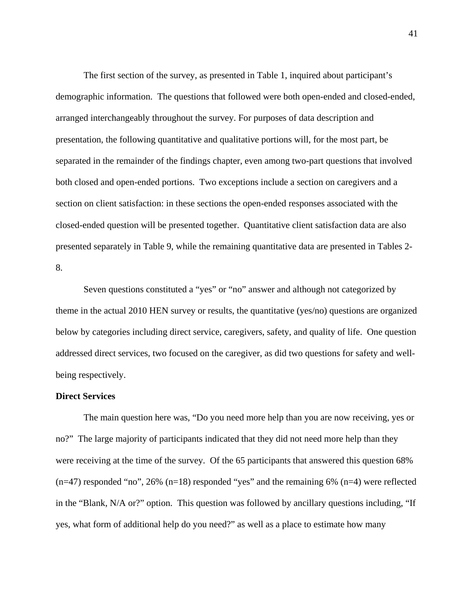The first section of the survey, as presented in Table 1, inquired about participant's demographic information. The questions that followed were both open-ended and closed-ended, arranged interchangeably throughout the survey. For purposes of data description and presentation, the following quantitative and qualitative portions will, for the most part, be separated in the remainder of the findings chapter, even among two-part questions that involved both closed and open-ended portions. Two exceptions include a section on caregivers and a section on client satisfaction: in these sections the open-ended responses associated with the closed-ended question will be presented together. Quantitative client satisfaction data are also presented separately in Table 9, while the remaining quantitative data are presented in Tables 2- 8.

Seven questions constituted a "yes" or "no" answer and although not categorized by theme in the actual 2010 HEN survey or results, the quantitative (yes/no) questions are organized below by categories including direct service, caregivers, safety, and quality of life. One question addressed direct services, two focused on the caregiver, as did two questions for safety and wellbeing respectively.

# **Direct Services**

The main question here was, "Do you need more help than you are now receiving, yes or no?" The large majority of participants indicated that they did not need more help than they were receiving at the time of the survey. Of the 65 participants that answered this question 68%  $(n=47)$  responded "no", 26%  $(n=18)$  responded "yes" and the remaining 6%  $(n=4)$  were reflected in the "Blank, N/A or?" option. This question was followed by ancillary questions including, "If yes, what form of additional help do you need?" as well as a place to estimate how many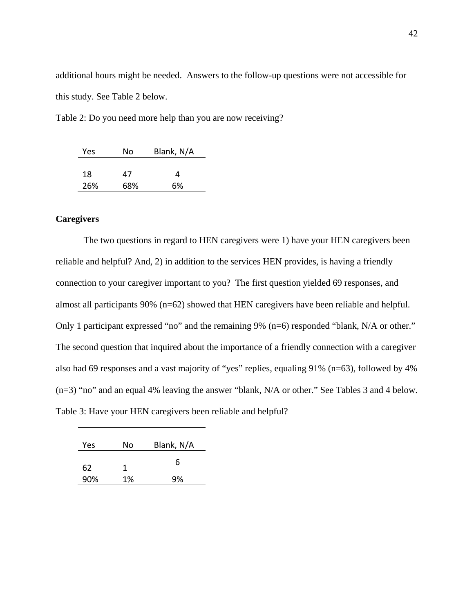additional hours might be needed. Answers to the follow-up questions were not accessible for this study. See Table 2 below.

Table 2: Do you need more help than you are now receiving?

| Yes | No  | Blank, N/A |
|-----|-----|------------|
|     |     |            |
| 18  | 47  | 4          |
| 26% | 68% | 6%         |

# **Caregivers**

The two questions in regard to HEN caregivers were 1) have your HEN caregivers been reliable and helpful? And, 2) in addition to the services HEN provides, is having a friendly connection to your caregiver important to you? The first question yielded 69 responses, and almost all participants 90% (n=62) showed that HEN caregivers have been reliable and helpful. Only 1 participant expressed "no" and the remaining 9% (n=6) responded "blank, N/A or other." The second question that inquired about the importance of a friendly connection with a caregiver also had 69 responses and a vast majority of "yes" replies, equaling 91% (n=63), followed by 4% (n=3) "no" and an equal 4% leaving the answer "blank, N/A or other." See Tables 3 and 4 below. Table 3: Have your HEN caregivers been reliable and helpful?

| Yes | No | Blank, N/A |
|-----|----|------------|
| 62  | 1  | 6          |
| 90% | 1% | 9%         |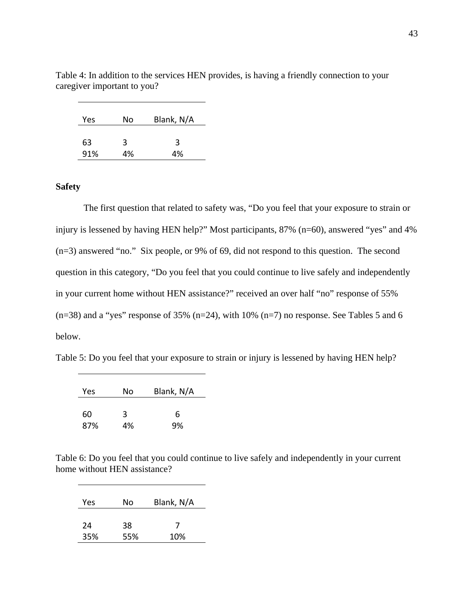| Yes | No | Blank, N/A |
|-----|----|------------|
|     |    |            |
| 63  | 3  | 3          |
| 91% | 4% | 4%         |

Table 4: In addition to the services HEN provides, is having a friendly connection to your caregiver important to you?

# **Safety**

The first question that related to safety was, "Do you feel that your exposure to strain or injury is lessened by having HEN help?" Most participants, 87% (n=60), answered "yes" and 4% (n=3) answered "no." Six people, or 9% of 69, did not respond to this question. The second question in this category, "Do you feel that you could continue to live safely and independently in your current home without HEN assistance?" received an over half "no" response of 55%  $(n=38)$  and a "yes" response of 35%  $(n=24)$ , with 10%  $(n=7)$  no response. See Tables 5 and 6 below.

Table 5: Do you feel that your exposure to strain or injury is lessened by having HEN help?

| Yes | No | Blank, N/A |
|-----|----|------------|
| 60  | 3  | 6          |
| 87% | 4% | 9%         |

Table 6: Do you feel that you could continue to live safely and independently in your current home without HEN assistance?

| Yes | No  | Blank, N/A |
|-----|-----|------------|
| 24  | 38  | 7          |
| 35% | 55% | 10%        |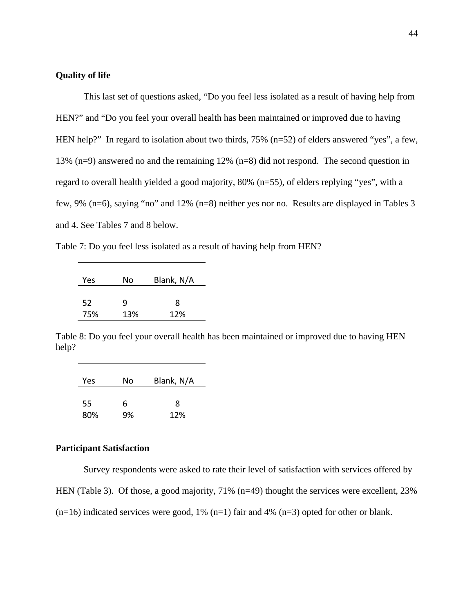## **Quality of life**

This last set of questions asked, "Do you feel less isolated as a result of having help from HEN?" and "Do you feel your overall health has been maintained or improved due to having HEN help?" In regard to isolation about two thirds, 75% (n=52) of elders answered "yes", a few, 13% (n=9) answered no and the remaining 12% (n=8) did not respond. The second question in regard to overall health yielded a good majority, 80% (n=55), of elders replying "yes", with a few, 9% (n=6), saying "no" and 12% (n=8) neither yes nor no. Results are displayed in Tables 3 and 4. See Tables 7 and 8 below.

Table 7: Do you feel less isolated as a result of having help from HEN?

| Yes | No  | Blank, N/A |
|-----|-----|------------|
| 52  | q   | 8          |
| 75% | 13% | 12%        |

Table 8: Do you feel your overall health has been maintained or improved due to having HEN help?

| Yes | No | Blank, N/A |
|-----|----|------------|
| 55  | 6  | 8          |
| 80% | 9% | 12%        |

# **Participant Satisfaction**

Survey respondents were asked to rate their level of satisfaction with services offered by HEN (Table 3). Of those, a good majority, 71% (n=49) thought the services were excellent, 23%  $(n=16)$  indicated services were good, 1%  $(n=1)$  fair and 4%  $(n=3)$  opted for other or blank.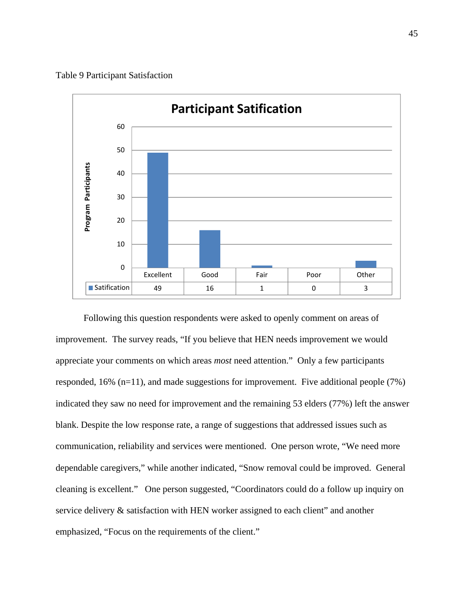Table 9 Participant Satisfaction



Following this question respondents were asked to openly comment on areas of improvement. The survey reads, "If you believe that HEN needs improvement we would appreciate your comments on which areas *most* need attention." Only a few participants responded,  $16\%$  (n=11), and made suggestions for improvement. Five additional people (7%) indicated they saw no need for improvement and the remaining 53 elders (77%) left the answer blank. Despite the low response rate, a range of suggestions that addressed issues such as communication, reliability and services were mentioned. One person wrote, "We need more dependable caregivers," while another indicated, "Snow removal could be improved. General cleaning is excellent." One person suggested, "Coordinators could do a follow up inquiry on service delivery & satisfaction with HEN worker assigned to each client" and another emphasized, "Focus on the requirements of the client."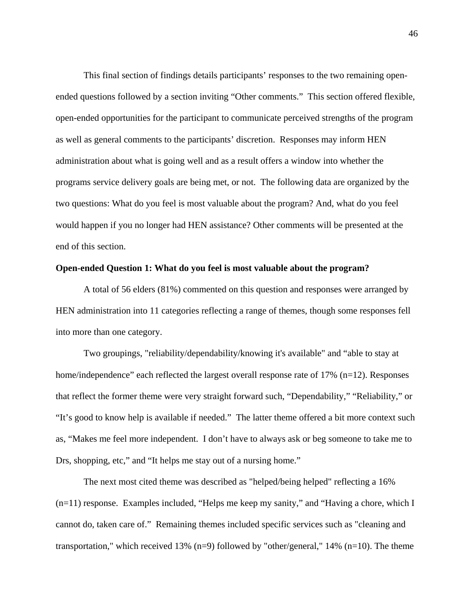This final section of findings details participants' responses to the two remaining openended questions followed by a section inviting "Other comments." This section offered flexible, open-ended opportunities for the participant to communicate perceived strengths of the program as well as general comments to the participants' discretion. Responses may inform HEN administration about what is going well and as a result offers a window into whether the programs service delivery goals are being met, or not. The following data are organized by the two questions: What do you feel is most valuable about the program? And, what do you feel would happen if you no longer had HEN assistance? Other comments will be presented at the end of this section.

## **Open-ended Question 1: What do you feel is most valuable about the program?**

A total of 56 elders (81%) commented on this question and responses were arranged by HEN administration into 11 categories reflecting a range of themes, though some responses fell into more than one category.

Two groupings, "reliability/dependability/knowing it's available" and "able to stay at home/independence" each reflected the largest overall response rate of 17% (n=12). Responses that reflect the former theme were very straight forward such, "Dependability," "Reliability," or "It's good to know help is available if needed." The latter theme offered a bit more context such as, "Makes me feel more independent. I don't have to always ask or beg someone to take me to Drs, shopping, etc," and "It helps me stay out of a nursing home."

The next most cited theme was described as "helped/being helped" reflecting a 16%  $(n=11)$  response. Examples included, "Helps me keep my sanity," and "Having a chore, which I cannot do, taken care of." Remaining themes included specific services such as "cleaning and transportation," which received 13% (n=9) followed by "other/general," 14% (n=10). The theme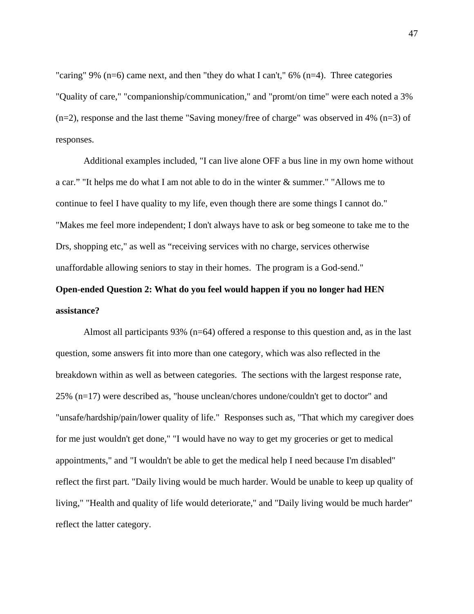"caring" 9% ( $n=6$ ) came next, and then "they do what I can't," 6% ( $n=4$ ). Three categories "Quality of care," "companionship/communication," and "promt/on time" were each noted a 3%  $(n=2)$ , response and the last theme "Saving money/free of charge" was observed in 4%  $(n=3)$  of responses.

Additional examples included, "I can live alone OFF a bus line in my own home without a car." "It helps me do what I am not able to do in the winter & summer." "Allows me to continue to feel I have quality to my life, even though there are some things I cannot do." "Makes me feel more independent; I don't always have to ask or beg someone to take me to the Drs, shopping etc," as well as "receiving services with no charge, services otherwise unaffordable allowing seniors to stay in their homes. The program is a God-send."

# **Open-ended Question 2: What do you feel would happen if you no longer had HEN assistance?**

Almost all participants 93% (n=64) offered a response to this question and, as in the last question, some answers fit into more than one category, which was also reflected in the breakdown within as well as between categories. The sections with the largest response rate, 25% (n=17) were described as, "house unclean/chores undone/couldn't get to doctor" and "unsafe/hardship/pain/lower quality of life." Responses such as, "That which my caregiver does for me just wouldn't get done," "I would have no way to get my groceries or get to medical appointments," and "I wouldn't be able to get the medical help I need because I'm disabled" reflect the first part. "Daily living would be much harder. Would be unable to keep up quality of living," "Health and quality of life would deteriorate," and "Daily living would be much harder" reflect the latter category.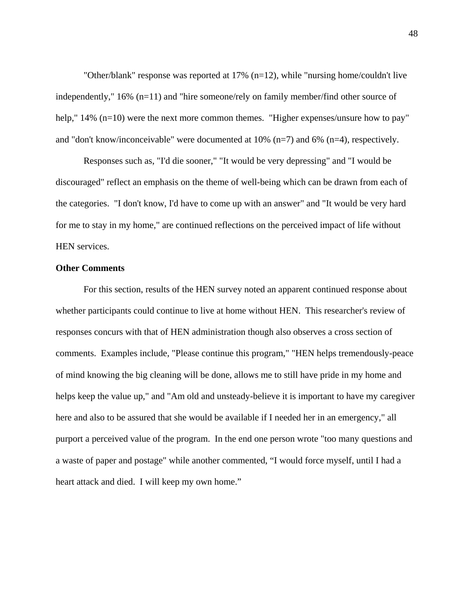"Other/blank" response was reported at 17% (n=12), while "nursing home/couldn't live independently," 16% (n=11) and "hire someone/rely on family member/find other source of help," 14% (n=10) were the next more common themes. "Higher expenses/unsure how to pay" and "don't know/inconceivable" were documented at 10% (n=7) and 6% (n=4), respectively.

Responses such as, "I'd die sooner," "It would be very depressing" and "I would be discouraged" reflect an emphasis on the theme of well-being which can be drawn from each of the categories. "I don't know, I'd have to come up with an answer" and "It would be very hard for me to stay in my home," are continued reflections on the perceived impact of life without HEN services.

# **Other Comments**

For this section, results of the HEN survey noted an apparent continued response about whether participants could continue to live at home without HEN. This researcher's review of responses concurs with that of HEN administration though also observes a cross section of comments. Examples include, "Please continue this program," "HEN helps tremendously-peace of mind knowing the big cleaning will be done, allows me to still have pride in my home and helps keep the value up," and "Am old and unsteady-believe it is important to have my caregiver here and also to be assured that she would be available if I needed her in an emergency," all purport a perceived value of the program. In the end one person wrote "too many questions and a waste of paper and postage" while another commented, "I would force myself, until I had a heart attack and died. I will keep my own home."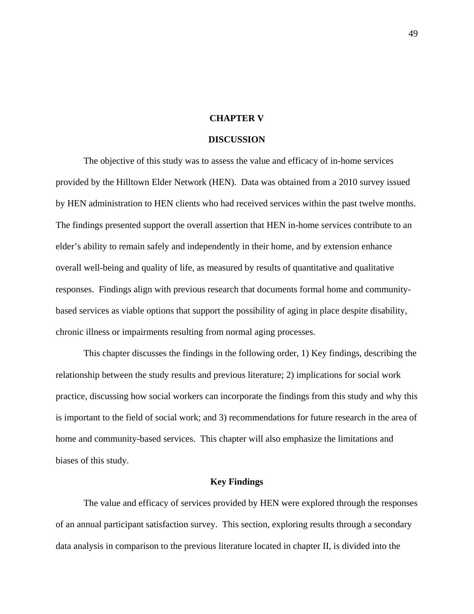## **CHAPTER V**

#### **DISCUSSION**

The objective of this study was to assess the value and efficacy of in-home services provided by the Hilltown Elder Network (HEN). Data was obtained from a 2010 survey issued by HEN administration to HEN clients who had received services within the past twelve months. The findings presented support the overall assertion that HEN in-home services contribute to an elder's ability to remain safely and independently in their home, and by extension enhance overall well-being and quality of life, as measured by results of quantitative and qualitative responses. Findings align with previous research that documents formal home and communitybased services as viable options that support the possibility of aging in place despite disability, chronic illness or impairments resulting from normal aging processes.

This chapter discusses the findings in the following order, 1) Key findings, describing the relationship between the study results and previous literature; 2) implications for social work practice, discussing how social workers can incorporate the findings from this study and why this is important to the field of social work; and 3) recommendations for future research in the area of home and community-based services. This chapter will also emphasize the limitations and biases of this study.

# **Key Findings**

The value and efficacy of services provided by HEN were explored through the responses of an annual participant satisfaction survey. This section, exploring results through a secondary data analysis in comparison to the previous literature located in chapter II, is divided into the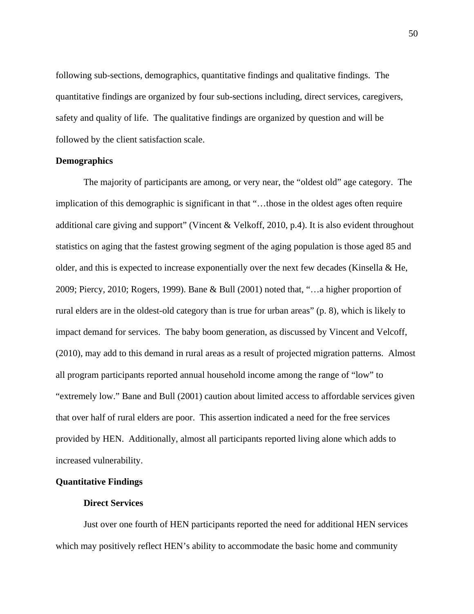following sub-sections, demographics, quantitative findings and qualitative findings. The quantitative findings are organized by four sub-sections including, direct services, caregivers, safety and quality of life. The qualitative findings are organized by question and will be followed by the client satisfaction scale.

## **Demographics**

The majority of participants are among, or very near, the "oldest old" age category. The implication of this demographic is significant in that "…those in the oldest ages often require additional care giving and support" (Vincent & Velkoff, 2010, p.4). It is also evident throughout statistics on aging that the fastest growing segment of the aging population is those aged 85 and older, and this is expected to increase exponentially over the next few decades (Kinsella  $\&$  He, 2009; Piercy, 2010; Rogers, 1999). Bane & Bull (2001) noted that, "…a higher proportion of rural elders are in the oldest-old category than is true for urban areas" (p. 8), which is likely to impact demand for services. The baby boom generation, as discussed by Vincent and Velcoff, (2010), may add to this demand in rural areas as a result of projected migration patterns. Almost all program participants reported annual household income among the range of "low" to "extremely low." Bane and Bull (2001) caution about limited access to affordable services given that over half of rural elders are poor. This assertion indicated a need for the free services provided by HEN. Additionally, almost all participants reported living alone which adds to increased vulnerability.

# **Quantitative Findings**

# **Direct Services**

Just over one fourth of HEN participants reported the need for additional HEN services which may positively reflect HEN's ability to accommodate the basic home and community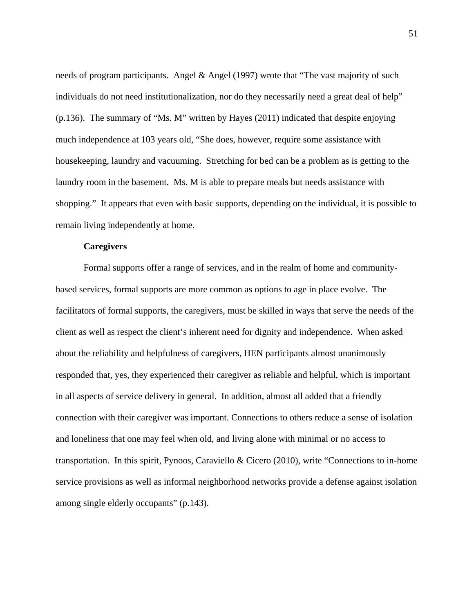needs of program participants. Angel & Angel (1997) wrote that "The vast majority of such individuals do not need institutionalization, nor do they necessarily need a great deal of help" (p.136). The summary of "Ms. M" written by Hayes (2011) indicated that despite enjoying much independence at 103 years old, "She does, however, require some assistance with housekeeping, laundry and vacuuming. Stretching for bed can be a problem as is getting to the laundry room in the basement. Ms. M is able to prepare meals but needs assistance with shopping." It appears that even with basic supports, depending on the individual, it is possible to remain living independently at home.

## **Caregivers**

Formal supports offer a range of services, and in the realm of home and communitybased services, formal supports are more common as options to age in place evolve. The facilitators of formal supports, the caregivers, must be skilled in ways that serve the needs of the client as well as respect the client's inherent need for dignity and independence. When asked about the reliability and helpfulness of caregivers, HEN participants almost unanimously responded that, yes, they experienced their caregiver as reliable and helpful, which is important in all aspects of service delivery in general. In addition, almost all added that a friendly connection with their caregiver was important. Connections to others reduce a sense of isolation and loneliness that one may feel when old, and living alone with minimal or no access to transportation. In this spirit, Pynoos, Caraviello & Cicero (2010), write "Connections to in-home service provisions as well as informal neighborhood networks provide a defense against isolation among single elderly occupants" (p.143).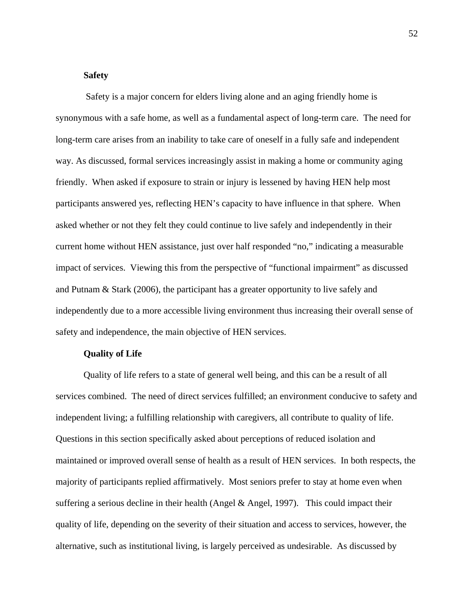## **Safety**

Safety is a major concern for elders living alone and an aging friendly home is synonymous with a safe home, as well as a fundamental aspect of long-term care. The need for long-term care arises from an inability to take care of oneself in a fully safe and independent way. As discussed, formal services increasingly assist in making a home or community aging friendly. When asked if exposure to strain or injury is lessened by having HEN help most participants answered yes, reflecting HEN's capacity to have influence in that sphere. When asked whether or not they felt they could continue to live safely and independently in their current home without HEN assistance, just over half responded "no," indicating a measurable impact of services. Viewing this from the perspective of "functional impairment" as discussed and Putnam & Stark (2006), the participant has a greater opportunity to live safely and independently due to a more accessible living environment thus increasing their overall sense of safety and independence, the main objective of HEN services.

## **Quality of Life**

Quality of life refers to a state of general well being, and this can be a result of all services combined. The need of direct services fulfilled; an environment conducive to safety and independent living; a fulfilling relationship with caregivers, all contribute to quality of life. Questions in this section specifically asked about perceptions of reduced isolation and maintained or improved overall sense of health as a result of HEN services. In both respects, the majority of participants replied affirmatively. Most seniors prefer to stay at home even when suffering a serious decline in their health (Angel & Angel, 1997). This could impact their quality of life, depending on the severity of their situation and access to services, however, the alternative, such as institutional living, is largely perceived as undesirable. As discussed by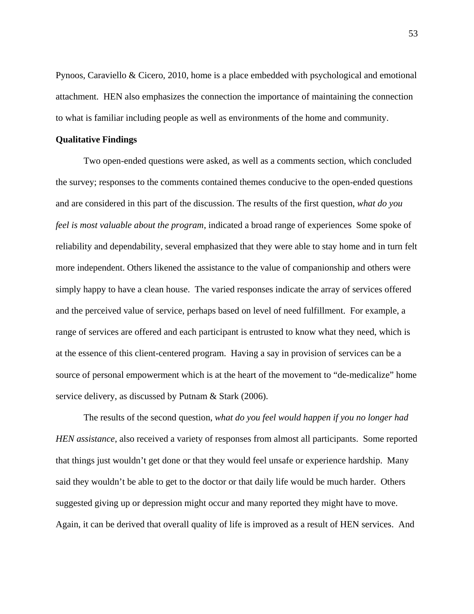Pynoos, Caraviello & Cicero, 2010, home is a place embedded with psychological and emotional attachment. HEN also emphasizes the connection the importance of maintaining the connection to what is familiar including people as well as environments of the home and community.

#### **Qualitative Findings**

Two open-ended questions were asked, as well as a comments section, which concluded the survey; responses to the comments contained themes conducive to the open-ended questions and are considered in this part of the discussion. The results of the first question, *what do you feel is most valuable about the program*, indicated a broad range of experiences Some spoke of reliability and dependability, several emphasized that they were able to stay home and in turn felt more independent. Others likened the assistance to the value of companionship and others were simply happy to have a clean house. The varied responses indicate the array of services offered and the perceived value of service, perhaps based on level of need fulfillment. For example, a range of services are offered and each participant is entrusted to know what they need, which is at the essence of this client-centered program. Having a say in provision of services can be a source of personal empowerment which is at the heart of the movement to "de-medicalize" home service delivery, as discussed by Putnam & Stark (2006).

The results of the second question, *what do you feel would happen if you no longer had HEN assistance*, also received a variety of responses from almost all participants. Some reported that things just wouldn't get done or that they would feel unsafe or experience hardship. Many said they wouldn't be able to get to the doctor or that daily life would be much harder. Others suggested giving up or depression might occur and many reported they might have to move. Again, it can be derived that overall quality of life is improved as a result of HEN services. And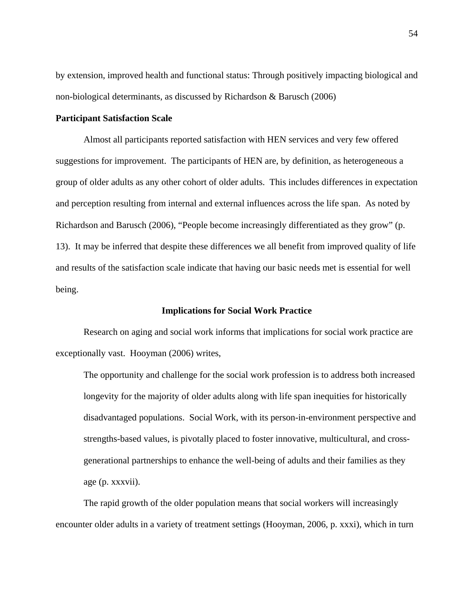by extension, improved health and functional status: Through positively impacting biological and non-biological determinants, as discussed by Richardson & Barusch (2006)

## **Participant Satisfaction Scale**

Almost all participants reported satisfaction with HEN services and very few offered suggestions for improvement. The participants of HEN are, by definition, as heterogeneous a group of older adults as any other cohort of older adults. This includes differences in expectation and perception resulting from internal and external influences across the life span. As noted by Richardson and Barusch (2006), "People become increasingly differentiated as they grow" (p. 13). It may be inferred that despite these differences we all benefit from improved quality of life and results of the satisfaction scale indicate that having our basic needs met is essential for well being.

## **Implications for Social Work Practice**

Research on aging and social work informs that implications for social work practice are exceptionally vast. Hooyman (2006) writes,

The opportunity and challenge for the social work profession is to address both increased longevity for the majority of older adults along with life span inequities for historically disadvantaged populations. Social Work, with its person-in-environment perspective and strengths-based values, is pivotally placed to foster innovative, multicultural, and crossgenerational partnerships to enhance the well-being of adults and their families as they age (p. xxxvii).

The rapid growth of the older population means that social workers will increasingly encounter older adults in a variety of treatment settings (Hooyman, 2006, p. xxxi), which in turn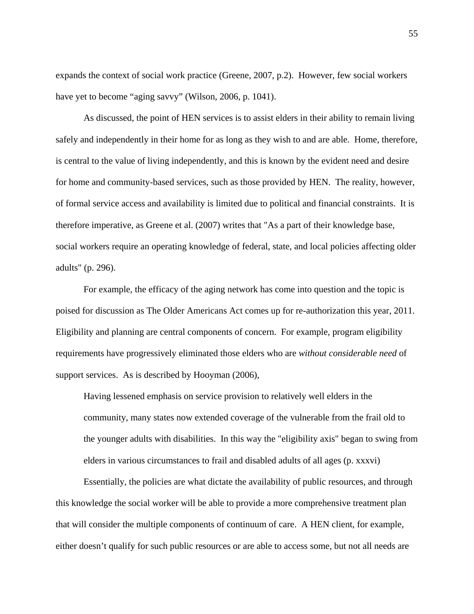expands the context of social work practice (Greene, 2007, p.2). However, few social workers have yet to become "aging savvy" (Wilson, 2006, p. 1041).

As discussed, the point of HEN services is to assist elders in their ability to remain living safely and independently in their home for as long as they wish to and are able. Home, therefore, is central to the value of living independently, and this is known by the evident need and desire for home and community-based services, such as those provided by HEN. The reality, however, of formal service access and availability is limited due to political and financial constraints. It is therefore imperative, as Greene et al. (2007) writes that "As a part of their knowledge base, social workers require an operating knowledge of federal, state, and local policies affecting older adults" (p. 296).

For example, the efficacy of the aging network has come into question and the topic is poised for discussion as The Older Americans Act comes up for re-authorization this year, 2011. Eligibility and planning are central components of concern. For example, program eligibility requirements have progressively eliminated those elders who are *without considerable need* of support services. As is described by Hooyman (2006),

Having lessened emphasis on service provision to relatively well elders in the community, many states now extended coverage of the vulnerable from the frail old to the younger adults with disabilities. In this way the "eligibility axis" began to swing from elders in various circumstances to frail and disabled adults of all ages (p. xxxvi)

Essentially, the policies are what dictate the availability of public resources, and through this knowledge the social worker will be able to provide a more comprehensive treatment plan that will consider the multiple components of continuum of care. A HEN client, for example, either doesn't qualify for such public resources or are able to access some, but not all needs are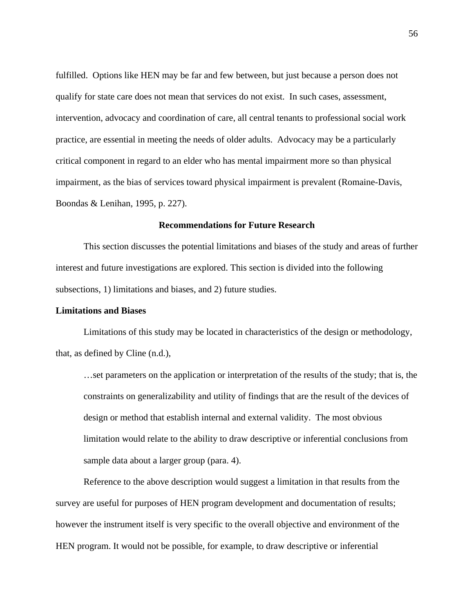fulfilled. Options like HEN may be far and few between, but just because a person does not qualify for state care does not mean that services do not exist. In such cases, assessment, intervention, advocacy and coordination of care, all central tenants to professional social work practice, are essential in meeting the needs of older adults. Advocacy may be a particularly critical component in regard to an elder who has mental impairment more so than physical impairment, as the bias of services toward physical impairment is prevalent (Romaine-Davis, Boondas & Lenihan, 1995, p. 227).

#### **Recommendations for Future Research**

This section discusses the potential limitations and biases of the study and areas of further interest and future investigations are explored. This section is divided into the following subsections, 1) limitations and biases, and 2) future studies.

## **Limitations and Biases**

Limitations of this study may be located in characteristics of the design or methodology, that, as defined by Cline (n.d.),

…set parameters on the application or interpretation of the results of the study; that is, the constraints on generalizability and utility of findings that are the result of the devices of design or method that establish internal and external validity. The most obvious limitation would relate to the ability to draw descriptive or inferential conclusions from sample data about a larger group (para. 4).

Reference to the above description would suggest a limitation in that results from the survey are useful for purposes of HEN program development and documentation of results; however the instrument itself is very specific to the overall objective and environment of the HEN program. It would not be possible, for example, to draw descriptive or inferential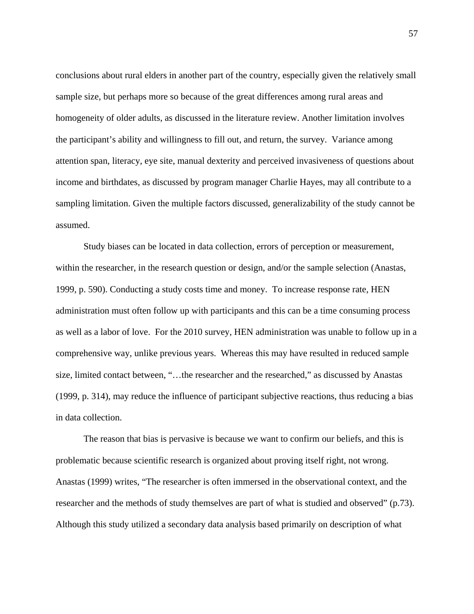conclusions about rural elders in another part of the country, especially given the relatively small sample size, but perhaps more so because of the great differences among rural areas and homogeneity of older adults, as discussed in the literature review. Another limitation involves the participant's ability and willingness to fill out, and return, the survey. Variance among attention span, literacy, eye site, manual dexterity and perceived invasiveness of questions about income and birthdates, as discussed by program manager Charlie Hayes, may all contribute to a sampling limitation. Given the multiple factors discussed, generalizability of the study cannot be assumed.

Study biases can be located in data collection, errors of perception or measurement, within the researcher, in the research question or design, and/or the sample selection (Anastas, 1999, p. 590). Conducting a study costs time and money. To increase response rate, HEN administration must often follow up with participants and this can be a time consuming process as well as a labor of love. For the 2010 survey, HEN administration was unable to follow up in a comprehensive way, unlike previous years. Whereas this may have resulted in reduced sample size, limited contact between, "…the researcher and the researched," as discussed by Anastas (1999, p. 314), may reduce the influence of participant subjective reactions, thus reducing a bias in data collection.

The reason that bias is pervasive is because we want to confirm our beliefs, and this is problematic because scientific research is organized about proving itself right, not wrong. Anastas (1999) writes, "The researcher is often immersed in the observational context, and the researcher and the methods of study themselves are part of what is studied and observed" (p.73). Although this study utilized a secondary data analysis based primarily on description of what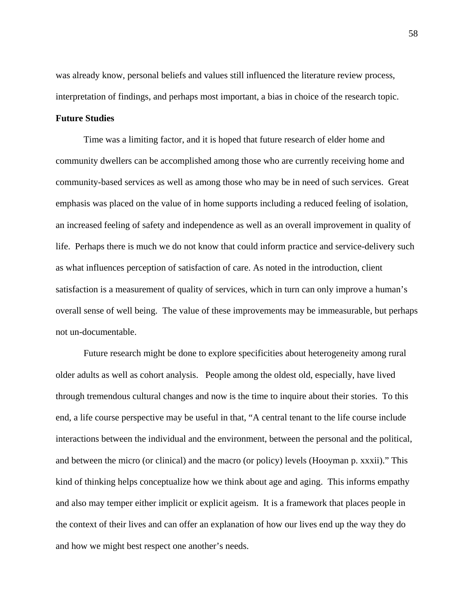was already know, personal beliefs and values still influenced the literature review process, interpretation of findings, and perhaps most important, a bias in choice of the research topic.

## **Future Studies**

Time was a limiting factor, and it is hoped that future research of elder home and community dwellers can be accomplished among those who are currently receiving home and community-based services as well as among those who may be in need of such services. Great emphasis was placed on the value of in home supports including a reduced feeling of isolation, an increased feeling of safety and independence as well as an overall improvement in quality of life. Perhaps there is much we do not know that could inform practice and service-delivery such as what influences perception of satisfaction of care. As noted in the introduction, client satisfaction is a measurement of quality of services, which in turn can only improve a human's overall sense of well being. The value of these improvements may be immeasurable, but perhaps not un-documentable.

Future research might be done to explore specificities about heterogeneity among rural older adults as well as cohort analysis. People among the oldest old, especially, have lived through tremendous cultural changes and now is the time to inquire about their stories. To this end, a life course perspective may be useful in that, "A central tenant to the life course include interactions between the individual and the environment, between the personal and the political, and between the micro (or clinical) and the macro (or policy) levels (Hooyman p. xxxii)." This kind of thinking helps conceptualize how we think about age and aging. This informs empathy and also may temper either implicit or explicit ageism. It is a framework that places people in the context of their lives and can offer an explanation of how our lives end up the way they do and how we might best respect one another's needs.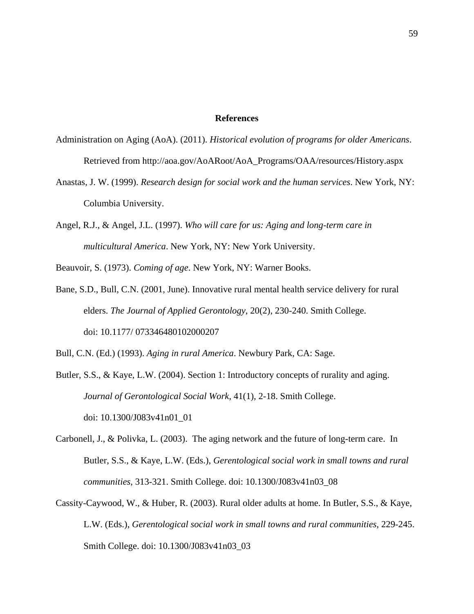## **References**

- Administration on Aging (AoA). (2011). *Historical evolution of programs for older Americans*. Retrieved from http://aoa.gov/AoARoot/AoA\_Programs/OAA/resources/History.aspx
- Anastas, J. W. (1999). *Research design for social work and the human services*. New York, NY: Columbia University.
- Angel, R.J., & Angel, J.L. (1997). *Who will care for us: Aging and long-term care in multicultural America*. New York, NY: New York University.

Beauvoir, S. (1973). *Coming of age*. New York, NY: Warner Books.

Bane, S.D., Bull, C.N. (2001, June). Innovative rural mental health service delivery for rural elders. *The Journal of Applied Gerontology*, 20(2), 230-240. Smith College. doi: 10.1177/ 073346480102000207

Bull, C.N. (Ed.) (1993). *Aging in rural America*. Newbury Park, CA: Sage.

- Butler, S.S., & Kaye, L.W. (2004). Section 1: Introductory concepts of rurality and aging. *Journal of Gerontological Social Work*, 41(1), 2-18. Smith College. doi: 10.1300/J083v41n01\_01
- Carbonell, J., & Polivka, L. (2003). The aging network and the future of long-term care. In Butler, S.S., & Kaye, L.W. (Eds.), *Gerentological social work in small towns and rural communities*, 313-321. Smith College. doi: 10.1300/J083v41n03\_08
- Cassity-Caywood, W., & Huber, R. (2003). Rural older adults at home. In Butler, S.S., & Kaye, L.W. (Eds.), *Gerentological social work in small towns and rural communities*, 229-245. Smith College. doi: 10.1300/J083v41n03\_03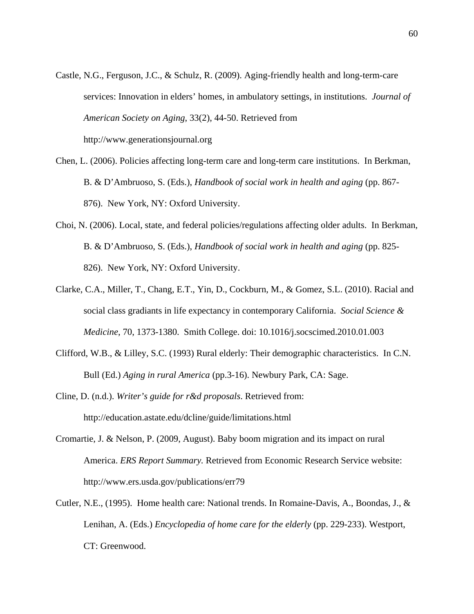- Castle, N.G., Ferguson, J.C., & Schulz, R. (2009). Aging-friendly health and long-term-care services: Innovation in elders' homes, in ambulatory settings, in institutions. *Journal of American Society on Aging*, 33(2), 44-50. Retrieved from http://www.generationsjournal.org
- Chen, L. (2006). Policies affecting long-term care and long-term care institutions. In Berkman, B. & D'Ambruoso, S. (Eds.), *Handbook of social work in health and aging* (pp. 867- 876). New York, NY: Oxford University.
- Choi, N. (2006). Local, state, and federal policies/regulations affecting older adults. In Berkman, B. & D'Ambruoso, S. (Eds.), *Handbook of social work in health and aging* (pp. 825- 826). New York, NY: Oxford University.
- Clarke, C.A., Miller, T., Chang, E.T., Yin, D., Cockburn, M., & Gomez, S.L. (2010). Racial and social class gradiants in life expectancy in contemporary California. *Social Science & Medicine*, 70, 1373-1380. Smith College. doi: 10.1016/j.socscimed.2010.01.003
- Clifford, W.B., & Lilley, S.C. (1993) Rural elderly: Their demographic characteristics. In C.N. Bull (Ed.) *Aging in rural America* (pp.3-16). Newbury Park, CA: Sage.
- Cline, D. (n.d.). *Writer's guide for r&d proposals*. Retrieved from: http://education.astate.edu/dcline/guide/limitations.html
- Cromartie, J. & Nelson, P. (2009, August). Baby boom migration and its impact on rural America. *ERS Report Summary.* Retrieved from Economic Research Service website: http://www.ers.usda.gov/publications/err79
- Cutler, N.E., (1995). Home health care: National trends. In Romaine-Davis, A., Boondas, J., & Lenihan, A. (Eds.) *Encyclopedia of home care for the elderly* (pp. 229-233). Westport, CT: Greenwood.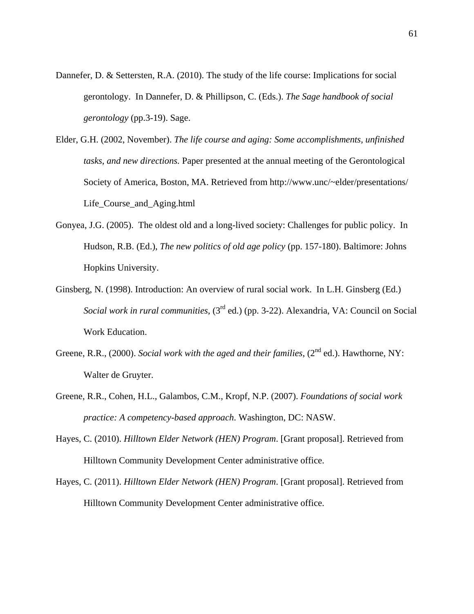- Dannefer, D. & Settersten, R.A. (2010). The study of the life course: Implications for social gerontology. In Dannefer, D. & Phillipson, C. (Eds.). *The Sage handbook of social gerontology* (pp.3-19). Sage.
- Elder, G.H. (2002, November). *The life course and aging: Some accomplishments, unfinished tasks, and new directions.* Paper presented at the annual meeting of the Gerontological Society of America, Boston, MA. Retrieved from http://www.unc/~elder/presentations/ Life\_Course\_and\_Aging.html
- Gonyea, J.G. (2005). The oldest old and a long-lived society: Challenges for public policy. In Hudson, R.B. (Ed.), *The new politics of old age policy* (pp. 157-180). Baltimore: Johns Hopkins University.
- Ginsberg, N. (1998). Introduction: An overview of rural social work. In L.H. Ginsberg (Ed.) *Social work in rural communities*, (3rd ed.) (pp. 3-22). Alexandria, VA: Council on Social Work Education.
- Greene, R.R., (2000). *Social work with the aged and their families*, (2<sup>nd</sup> ed.). Hawthorne, NY: Walter de Gruyter.
- Greene, R.R., Cohen, H.L., Galambos, C.M., Kropf, N.P. (2007). *Foundations of social work practice: A competency-based approach*. Washington, DC: NASW.
- Hayes, C. (2010). *Hilltown Elder Network (HEN) Program*. [Grant proposal]. Retrieved from Hilltown Community Development Center administrative office.
- Hayes, C. (2011). *Hilltown Elder Network (HEN) Program*. [Grant proposal]. Retrieved from Hilltown Community Development Center administrative office.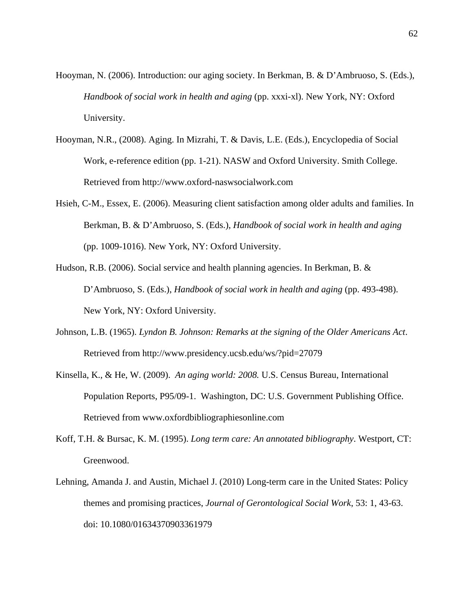- Hooyman, N. (2006). Introduction: our aging society. In Berkman, B. & D'Ambruoso, S. (Eds.), *Handbook of social work in health and aging* (pp. xxxi-xl). New York, NY: Oxford University.
- Hooyman, N.R., (2008). Aging. In Mizrahi, T. & Davis, L.E. (Eds.), Encyclopedia of Social Work, e-reference edition (pp. 1-21). NASW and Oxford University. Smith College. Retrieved from http://www.oxford-naswsocialwork.com
- Hsieh, C-M., Essex, E. (2006). Measuring client satisfaction among older adults and families. In Berkman, B. & D'Ambruoso, S. (Eds.), *Handbook of social work in health and aging* (pp. 1009-1016). New York, NY: Oxford University.
- Hudson, R.B. (2006). Social service and health planning agencies. In Berkman, B. & D'Ambruoso, S. (Eds.), *Handbook of social work in health and aging* (pp. 493-498). New York, NY: Oxford University.
- Johnson, L.B. (1965). *Lyndon B. Johnson: Remarks at the signing of the Older Americans Act*. Retrieved from http://www.presidency.ucsb.edu/ws/?pid=27079
- Kinsella, K., & He, W. (2009). *An aging world: 2008.* U.S. Census Bureau, International Population Reports, P95/09-1. Washington, DC: U.S. Government Publishing Office. Retrieved from www.oxfordbibliographiesonline.com
- Koff, T.H. & Bursac, K. M. (1995). *Long term care: An annotated bibliography*. Westport, CT: Greenwood.
- Lehning, Amanda J. and Austin, Michael J. (2010) Long-term care in the United States: Policy themes and promising practices, *Journal of Gerontological Social Work*, 53: 1, 43-63. doi: 10.1080/01634370903361979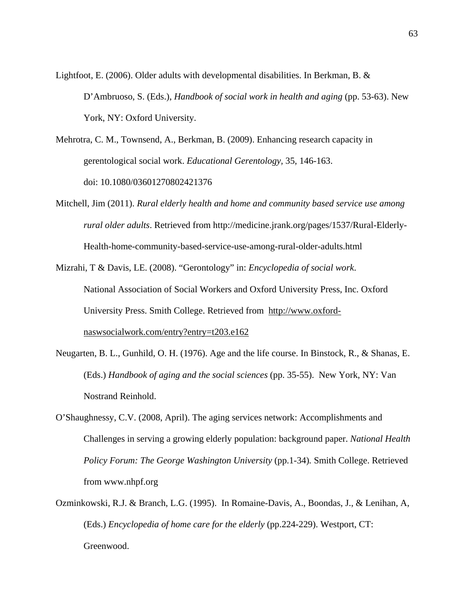Lightfoot, E. (2006). Older adults with developmental disabilities. In Berkman, B. & D'Ambruoso, S. (Eds.), *Handbook of social work in health and aging* (pp. 53-63). New York, NY: Oxford University.

- Mehrotra, C. M., Townsend, A., Berkman, B. (2009). Enhancing research capacity in gerentological social work. *Educational Gerentology,* 35, 146-163. doi: 10.1080/03601270802421376
- Mitchell, Jim (2011). *Rural elderly health and home and community based service use among rural older adults*. Retrieved from http://medicine.jrank.org/pages/1537/Rural-Elderly-Health-home-community-based-service-use-among-rural-older-adults.html

Mizrahi, T & Davis, LE. (2008). "Gerontology" in: *Encyclopedia of social work*. National Association of Social Workers and Oxford University Press, Inc. Oxford University Press. Smith College. Retrieved from http://www.oxfordnaswsocialwork.com/entry?entry=t203.e162

- Neugarten, B. L., Gunhild, O. H. (1976). Age and the life course. In Binstock, R., & Shanas, E. (Eds.) *Handbook of aging and the social sciences* (pp. 35-55). New York, NY: Van Nostrand Reinhold.
- O'Shaughnessy, C.V. (2008, April). The aging services network: Accomplishments and Challenges in serving a growing elderly population: background paper. *National Health Policy Forum: The George Washington University* (pp.1-34)*.* Smith College. Retrieved from www.nhpf.org
- Ozminkowski, R.J. & Branch, L.G. (1995). In Romaine-Davis, A., Boondas, J., & Lenihan, A, (Eds.) *Encyclopedia of home care for the elderly* (pp.224-229). Westport, CT: Greenwood.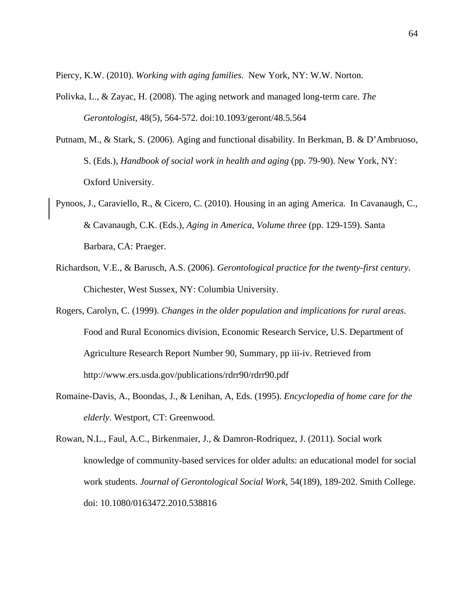Piercy, K.W. (2010). *Working with aging families*. New York, NY: W.W. Norton.

- Polivka, L., & Zayac, H. (2008). The aging network and managed long-term care. *The Gerontologist*, 48(5), 564-572. doi:10.1093/geront/48.5.564
- Putnam, M., & Stark, S. (2006). Aging and functional disability. In Berkman, B. & D'Ambruoso, S. (Eds.), *Handbook of social work in health and aging* (pp. 79-90). New York, NY: Oxford University.
- Pynoos, J., Caraviello, R., & Cicero, C. (2010). Housing in an aging America. In Cavanaugh, C., & Cavanaugh, C.K. (Eds.), *Aging in America*, *Volume three* (pp. 129-159). Santa Barbara, CA: Praeger.
- Richardson, V.E., & Barusch, A.S. (2006). *Gerontological practice for the twenty-first century*. Chichester, West Sussex, NY: Columbia University.
- Rogers, Carolyn, C. (1999). *Changes in the older population and implications for rural areas*. Food and Rural Economics division, Economic Research Service, U.S. Department of Agriculture Research Report Number 90, Summary, pp iii-iv. Retrieved from http://www.ers.usda.gov/publications/rdrr90/rdrr90.pdf
- Romaine-Davis, A., Boondas, J., & Lenihan, A, Eds. (1995). *Encyclopedia of home care for the elderly*. Westport, CT: Greenwood.
- Rowan, N.L., Faul, A.C., Birkenmaier, J., & Damron-Rodriquez, J. (2011). Social work knowledge of community-based services for older adults: an educational model for social work students. *Journal of Gerontological Social Work*, 54(189), 189-202. Smith College. doi: 10.1080/0163472.2010.538816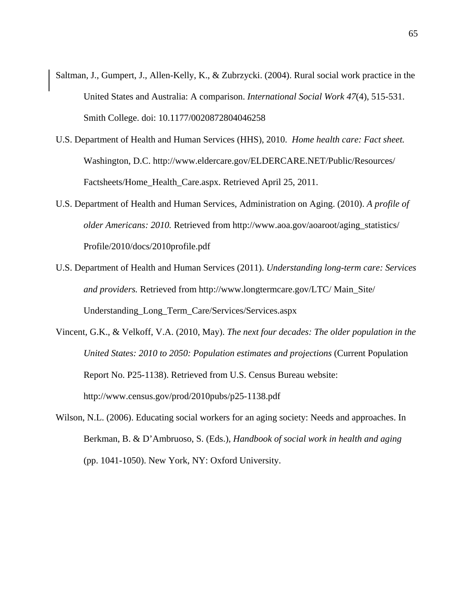- Saltman, J., Gumpert, J., Allen-Kelly, K., & Zubrzycki. (2004). Rural social work practice in the United States and Australia: A comparison. *International Social Work 47*(4), 515-531. Smith College. doi: 10.1177/0020872804046258
- U.S. Department of Health and Human Services (HHS), 2010. *Home health care: Fact sheet.* Washington, D.C. http://www.eldercare.gov/ELDERCARE.NET/Public/Resources/ Factsheets/Home\_Health\_Care.aspx. Retrieved April 25, 2011.
- U.S. Department of Health and Human Services, Administration on Aging. (2010). *A profile of older Americans: 2010.* Retrieved from http://www.aoa.gov/aoaroot/aging\_statistics/ Profile/2010/docs/2010profile.pdf
- U.S. Department of Health and Human Services (2011). *Understanding long-term care: Services and providers.* Retrieved from http://www.longtermcare.gov/LTC/ Main\_Site/ Understanding\_Long\_Term\_Care/Services/Services.aspx
- Vincent, G.K., & Velkoff, V.A. (2010, May). *The next four decades: The older population in the United States: 2010 to 2050: Population estimates and projections* (Current Population Report No. P25-1138). Retrieved from U.S. Census Bureau website: http://www.census.gov/prod/2010pubs/p25-1138.pdf
- Wilson, N.L. (2006). Educating social workers for an aging society: Needs and approaches. In Berkman, B. & D'Ambruoso, S. (Eds.), *Handbook of social work in health and aging* (pp. 1041-1050). New York, NY: Oxford University.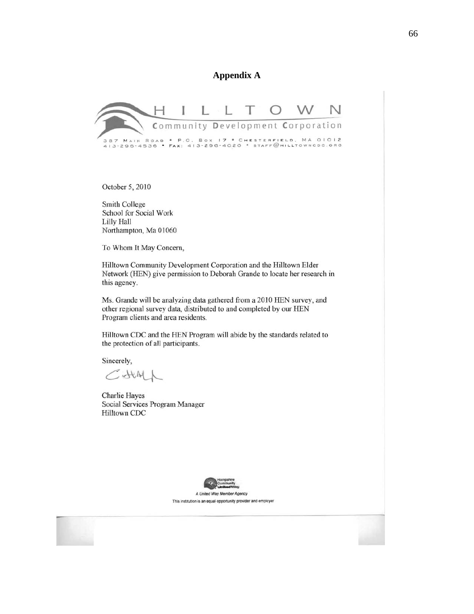## **Appendix A**



October 5, 2010

Smith College School for Social Work Lilly Hall Northampton, Ma 01060

To Whom It May Concern,

Hilltown Community Development Corporation and the Hilltown Elder Network (HEN) give permission to Deborah Grande to locate her research in this agency.

Ms. Grande will be analyzing data gathered from a 2010 HEN survey, and other regional survey data, distributed to and completed by our HEN Program clients and area residents.

Hilltown CDC and the HEN Program will abide by the standards related to the protection of all participants.

Sincerely,

 $CAM$ 

Charlie Hayes Social Services Program Manager Hilltown CDC



This institution is an equal opportunity provider and employer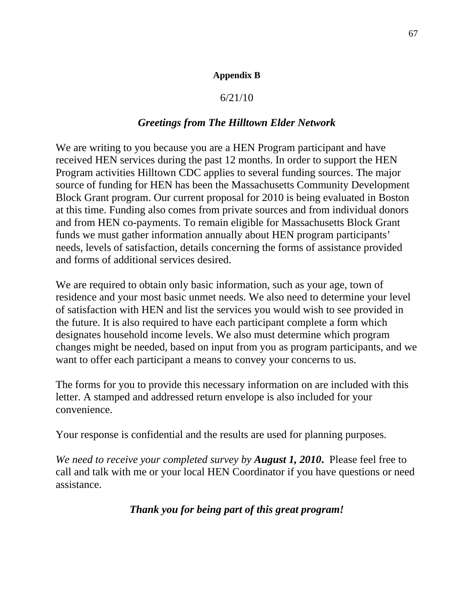#### **Appendix B**

### 6/21/10

## *Greetings from The Hilltown Elder Network*

We are writing to you because you are a HEN Program participant and have received HEN services during the past 12 months. In order to support the HEN Program activities Hilltown CDC applies to several funding sources. The major source of funding for HEN has been the Massachusetts Community Development Block Grant program. Our current proposal for 2010 is being evaluated in Boston at this time. Funding also comes from private sources and from individual donors and from HEN co-payments. To remain eligible for Massachusetts Block Grant funds we must gather information annually about HEN program participants' needs, levels of satisfaction, details concerning the forms of assistance provided and forms of additional services desired.

We are required to obtain only basic information, such as your age, town of residence and your most basic unmet needs. We also need to determine your level of satisfaction with HEN and list the services you would wish to see provided in the future. It is also required to have each participant complete a form which designates household income levels. We also must determine which program changes might be needed, based on input from you as program participants, and we want to offer each participant a means to convey your concerns to us.

The forms for you to provide this necessary information on are included with this letter. A stamped and addressed return envelope is also included for your convenience.

Your response is confidential and the results are used for planning purposes.

*We need to receive your completed survey by August 1, 2010***.** Please feel free to call and talk with me or your local HEN Coordinator if you have questions or need assistance.

# *Thank you for being part of this great program!*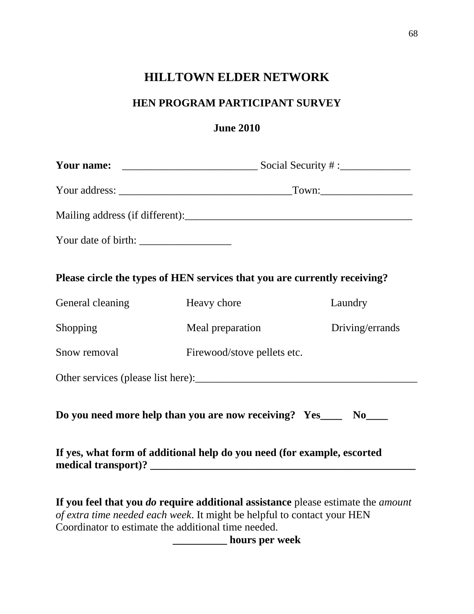# **HILLTOWN ELDER NETWORK**

# **HEN PROGRAM PARTICIPANT SURVEY**

# **June 2010**

| Please circle the types of HEN services that you are currently receiving?                                                                                                                                                                                                     |                             |                 |  |  |  |  |
|-------------------------------------------------------------------------------------------------------------------------------------------------------------------------------------------------------------------------------------------------------------------------------|-----------------------------|-----------------|--|--|--|--|
| General cleaning                                                                                                                                                                                                                                                              | Heavy chore                 | Laundry         |  |  |  |  |
| Shopping                                                                                                                                                                                                                                                                      | Meal preparation            | Driving/errands |  |  |  |  |
| Snow removal                                                                                                                                                                                                                                                                  | Firewood/stove pellets etc. |                 |  |  |  |  |
|                                                                                                                                                                                                                                                                               |                             |                 |  |  |  |  |
| Do you need more help than you are now receiving? Yes____ No____                                                                                                                                                                                                              |                             |                 |  |  |  |  |
| If yes, what form of additional help do you need (for example, escorted                                                                                                                                                                                                       |                             |                 |  |  |  |  |
| If you feel that you <i>do</i> require additional assistance please estimate the <i>amount</i><br>of extra time needed each week. It might be helpful to contact your HEN<br>Coordinator to estimate the additional time needed.<br><b>EXAMPLE 10 INCOMENT</b> hours per week |                             |                 |  |  |  |  |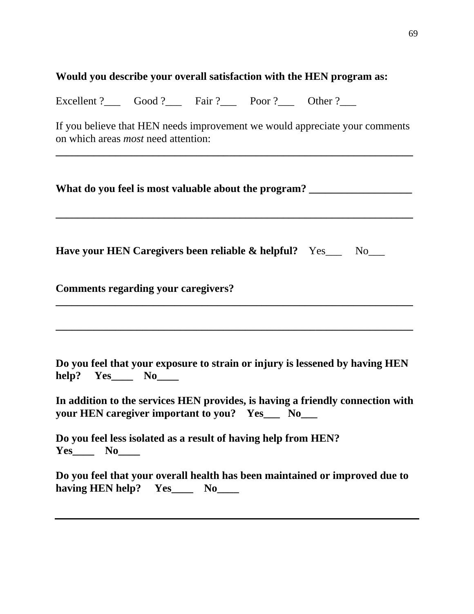# **Would you describe your overall satisfaction with the HEN program as:**

Excellent ?\_\_\_ Good ?\_\_\_ Fair ?\_\_\_ Poor ?\_\_\_ Other ?\_\_\_

If you believe that HEN needs improvement we would appreciate your comments on which areas *most* need attention:

|                                            | What do you feel is most valuable about the program?                                                                                                                                                              |
|--------------------------------------------|-------------------------------------------------------------------------------------------------------------------------------------------------------------------------------------------------------------------|
|                                            | <b>Have your HEN Caregivers been reliable &amp; helpful?</b> Yes___ No___                                                                                                                                         |
| <b>Comments regarding your caregivers?</b> |                                                                                                                                                                                                                   |
| help? Yes_____ No_____                     | Do you feel that your exposure to strain or injury is lessened by having HEN<br>In addition to the services HEN provides, is having a friendly connection with<br>your HEN caregiver important to you? Yes__ No__ |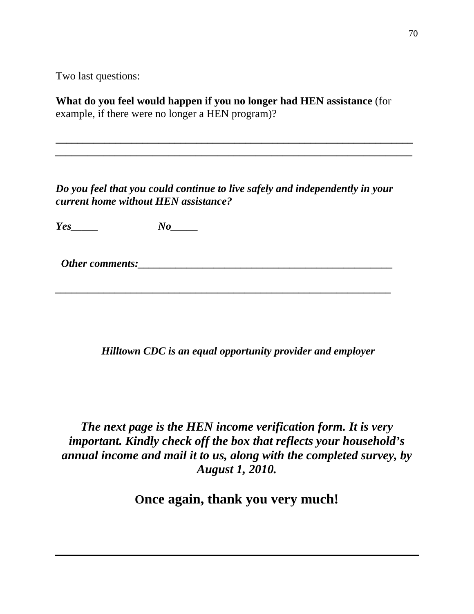Two last questions:

**What do you feel would happen if you no longer had HEN assistance** (for example, if there were no longer a HEN program)?

**\_\_\_\_\_\_\_\_\_\_\_\_\_\_\_\_\_\_\_\_\_\_\_\_\_\_\_\_\_\_\_\_\_\_\_\_\_\_\_\_\_\_\_\_\_\_\_\_\_\_\_\_\_\_\_\_\_\_\_\_\_\_\_\_\_\_**  *\_\_\_\_\_\_\_\_\_\_\_\_\_\_\_\_\_\_\_\_\_\_\_\_\_\_\_\_\_\_\_\_\_\_\_\_\_\_\_\_\_\_\_\_\_\_\_\_\_\_\_\_\_\_\_\_\_\_\_\_\_\_\_\_\_\_* 

*Do you feel that you could continue to live safely and independently in your current home without HEN assistance?* 

*Yes\_\_\_\_\_ No\_\_\_\_\_* 

 *Other comments:\_\_\_\_\_\_\_\_\_\_\_\_\_\_\_\_\_\_\_\_\_\_\_\_\_\_\_\_\_\_\_\_\_\_\_\_\_\_\_\_\_\_\_\_\_\_\_* 

*\_\_\_\_\_\_\_\_\_\_\_\_\_\_\_\_\_\_\_\_\_\_\_\_\_\_\_\_\_\_\_\_\_\_\_\_\_\_\_\_\_\_\_\_\_\_\_\_\_\_\_\_\_\_\_\_\_\_\_\_\_\_* 

 *Hilltown CDC is an equal opportunity provider and employer* 

*The next page is the HEN income verification form. It is very important. Kindly check off the box that reflects your household's annual income and mail it to us, along with the completed survey, by August 1, 2010.* 

**Once again, thank you very much!**